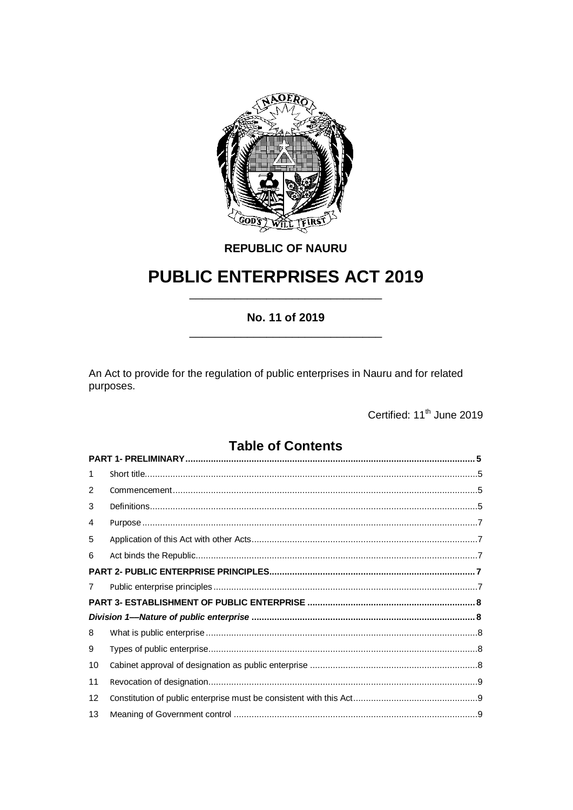

**REPUBLIC OF NAURU** 

# **PUBLIC ENTERPRISES ACT 2019**

# No. 11 of 2019

An Act to provide for the regulation of public enterprises in Nauru and for related purposes.

Certified: 11<sup>th</sup> June 2019

# **Table of Contents**

| 1  |  |  |  |  |  |
|----|--|--|--|--|--|
| 2  |  |  |  |  |  |
| 3  |  |  |  |  |  |
| 4  |  |  |  |  |  |
| 5  |  |  |  |  |  |
| 6  |  |  |  |  |  |
|    |  |  |  |  |  |
| 7  |  |  |  |  |  |
|    |  |  |  |  |  |
|    |  |  |  |  |  |
| 8  |  |  |  |  |  |
| 9  |  |  |  |  |  |
| 10 |  |  |  |  |  |
| 11 |  |  |  |  |  |
| 12 |  |  |  |  |  |
| 13 |  |  |  |  |  |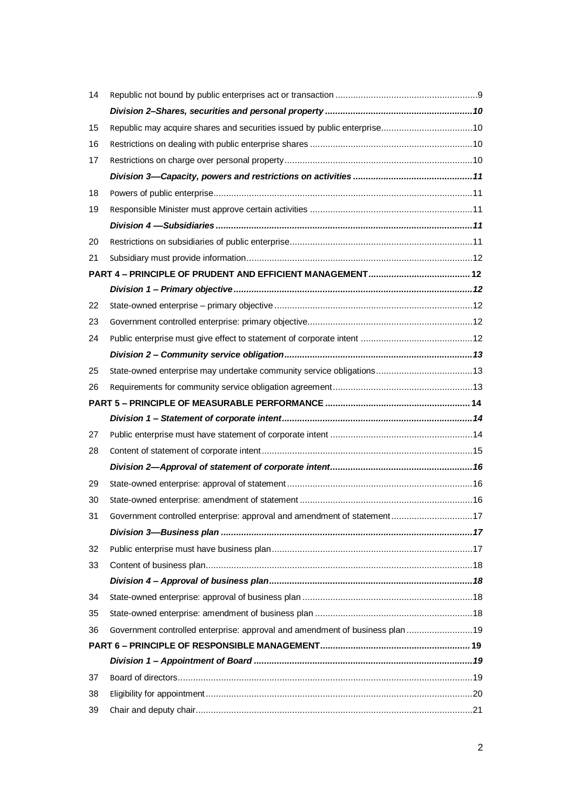| 14 |                                                                               |  |
|----|-------------------------------------------------------------------------------|--|
|    |                                                                               |  |
| 15 | Republic may acquire shares and securities issued by public enterprise10      |  |
| 16 |                                                                               |  |
| 17 |                                                                               |  |
|    |                                                                               |  |
| 18 |                                                                               |  |
| 19 |                                                                               |  |
|    |                                                                               |  |
| 20 |                                                                               |  |
| 21 |                                                                               |  |
|    |                                                                               |  |
|    |                                                                               |  |
| 22 |                                                                               |  |
| 23 |                                                                               |  |
| 24 |                                                                               |  |
|    |                                                                               |  |
| 25 | State-owned enterprise may undertake community service obligations13          |  |
| 26 |                                                                               |  |
|    |                                                                               |  |
|    |                                                                               |  |
| 27 |                                                                               |  |
| 28 |                                                                               |  |
|    |                                                                               |  |
| 29 |                                                                               |  |
| 30 |                                                                               |  |
| 31 | Government controlled enterprise: approval and amendment of statement17       |  |
|    |                                                                               |  |
| 32 |                                                                               |  |
| 33 |                                                                               |  |
|    |                                                                               |  |
| 34 |                                                                               |  |
| 35 |                                                                               |  |
| 36 | Government controlled enterprise: approval and amendment of business plan  19 |  |
|    |                                                                               |  |
|    |                                                                               |  |
| 37 |                                                                               |  |
| 38 |                                                                               |  |
| 39 |                                                                               |  |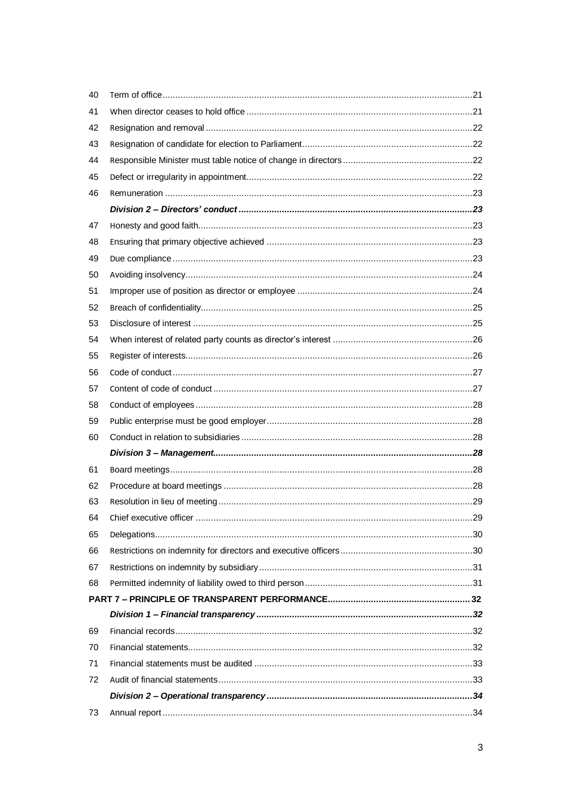| 40 |  |
|----|--|
| 41 |  |
| 42 |  |
| 43 |  |
| 44 |  |
| 45 |  |
| 46 |  |
|    |  |
| 47 |  |
| 48 |  |
| 49 |  |
| 50 |  |
| 51 |  |
| 52 |  |
| 53 |  |
| 54 |  |
| 55 |  |
| 56 |  |
| 57 |  |
| 58 |  |
| 59 |  |
| 60 |  |
|    |  |
| 61 |  |
| 62 |  |
| 63 |  |
| 64 |  |
| 65 |  |
| 66 |  |
| 67 |  |
| 68 |  |
|    |  |
|    |  |
| 69 |  |
| 70 |  |
| 71 |  |
| 72 |  |
|    |  |
| 73 |  |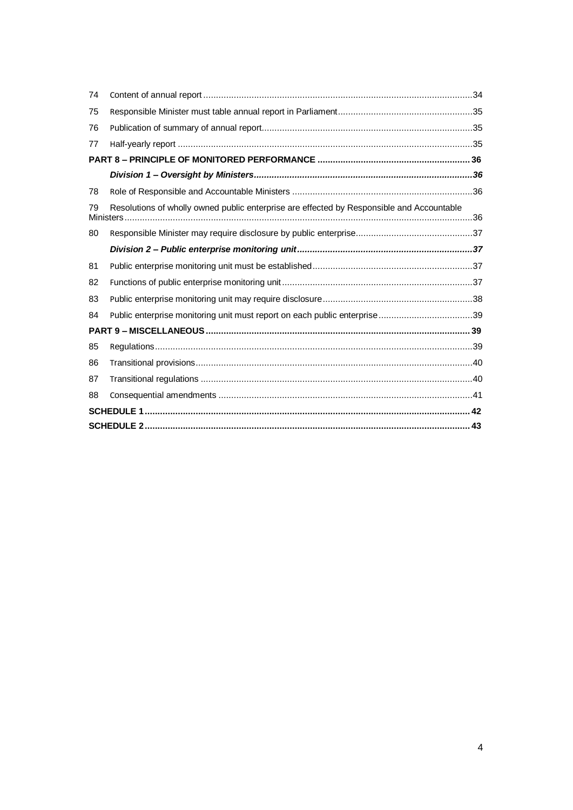| 74 |                                                                                           |  |  |
|----|-------------------------------------------------------------------------------------------|--|--|
| 75 |                                                                                           |  |  |
| 76 |                                                                                           |  |  |
| 77 |                                                                                           |  |  |
|    |                                                                                           |  |  |
|    |                                                                                           |  |  |
| 78 |                                                                                           |  |  |
| 79 | Resolutions of wholly owned public enterprise are effected by Responsible and Accountable |  |  |
| 80 |                                                                                           |  |  |
|    |                                                                                           |  |  |
| 81 |                                                                                           |  |  |
| 82 |                                                                                           |  |  |
| 83 |                                                                                           |  |  |
| 84 | Public enterprise monitoring unit must report on each public enterprise39                 |  |  |
|    |                                                                                           |  |  |
| 85 |                                                                                           |  |  |
| 86 |                                                                                           |  |  |
| 87 |                                                                                           |  |  |
| 88 |                                                                                           |  |  |
|    |                                                                                           |  |  |
|    |                                                                                           |  |  |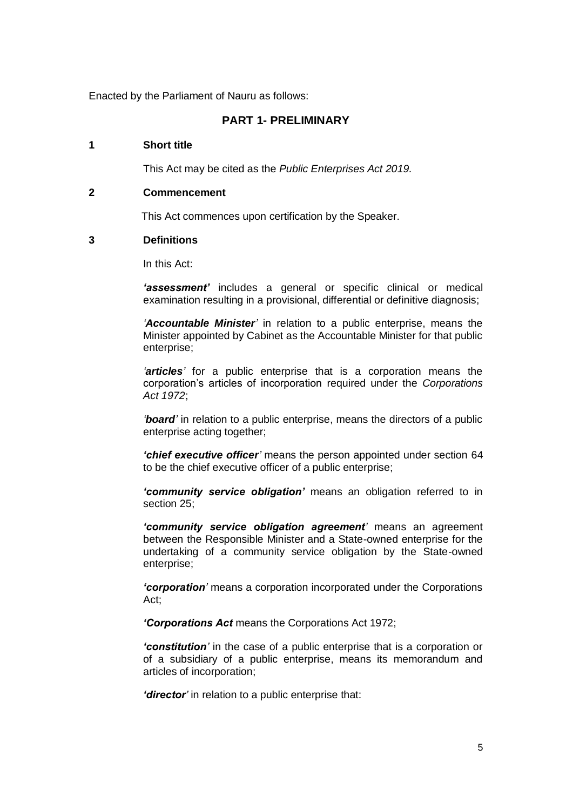<span id="page-4-0"></span>Enacted by the Parliament of Nauru as follows:

# **PART 1- PRELIMINARY**

## <span id="page-4-1"></span>**1 Short title**

This Act may be cited as the *Public Enterprises Act 2019.*

#### <span id="page-4-2"></span>**2 Commencement**

This Act commences upon certification by the Speaker.

#### <span id="page-4-3"></span>**3 Definitions**

In this Act:

*'assessment'* includes a general or specific clinical or medical examination resulting in a provisional, differential or definitive diagnosis;

*'Accountable Minister'* in relation to a public enterprise, means the Minister appointed by Cabinet as the Accountable Minister for that public enterprise;

*'articles'* for a public enterprise that is a corporation means the corporation's articles of incorporation required under the *Corporations Act 1972*;

*'board'* in relation to a public enterprise, means the directors of a public enterprise acting together;

*'chief executive officer'* means the person appointed under section 64 to be the chief executive officer of a public enterprise;

*'community service obligation'* means an obligation referred to in section 25:

*'community service obligation agreement'* means an agreement between the Responsible Minister and a State-owned enterprise for the undertaking of a community service obligation by the State-owned enterprise;

*'corporation'* means a corporation incorporated under the Corporations Act;

*'Corporations Act* means the Corporations Act 1972;

*'constitution'* in the case of a public enterprise that is a corporation or of a subsidiary of a public enterprise, means its memorandum and articles of incorporation;

*'director'* in relation to a public enterprise that: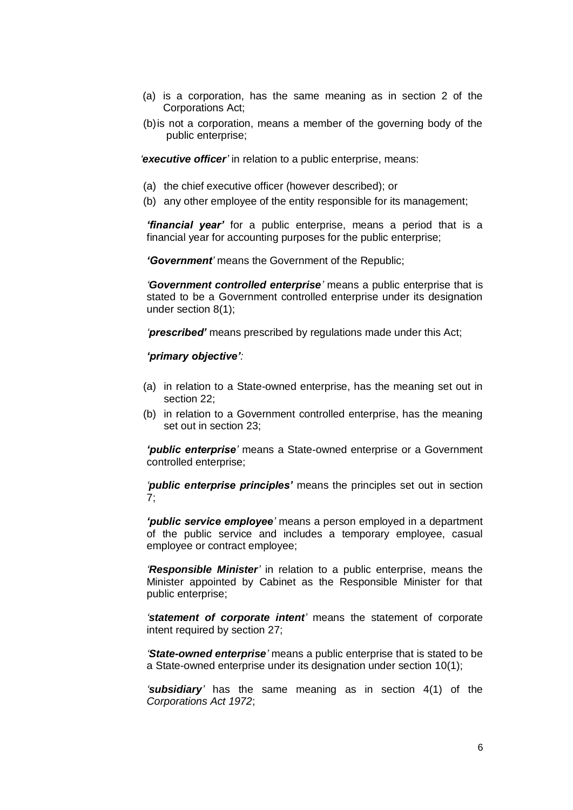- (a) is a corporation, has the same meaning as in section 2 of the Corporations Act;
- (b)is not a corporation, means a member of the governing body of the public enterprise;

*'executive officer'* in relation to a public enterprise, means:

- (a) the chief executive officer (however described); or
- (b) any other employee of the entity responsible for its management;

*'financial year'* for a public enterprise, means a period that is a financial year for accounting purposes for the public enterprise;

*'Government'* means the Government of the Republic;

*'Government controlled enterprise'* means a public enterprise that is stated to be a Government controlled enterprise under its designation under section 8(1);

*'prescribed'* means prescribed by regulations made under this Act;

#### *'primary objective':*

- (a) in relation to a State-owned enterprise, has the meaning set out in section 22;
- (b) in relation to a Government controlled enterprise, has the meaning set out in section 23;

*'public enterprise'* means a State-owned enterprise or a Government controlled enterprise;

*'public enterprise principles'* means the principles set out in section 7;

*'public service employee'* means a person employed in a department of the public service and includes a temporary employee, casual employee or contract employee;

*'Responsible Minister'* in relation to a public enterprise, means the Minister appointed by Cabinet as the Responsible Minister for that public enterprise;

*'statement of corporate intent'* means the statement of corporate intent required by section 27;

*'State-owned enterprise'* means a public enterprise that is stated to be a State-owned enterprise under its designation under section 10(1);

*'subsidiary'* has the same meaning as in section 4(1) of the *Corporations Act 1972*;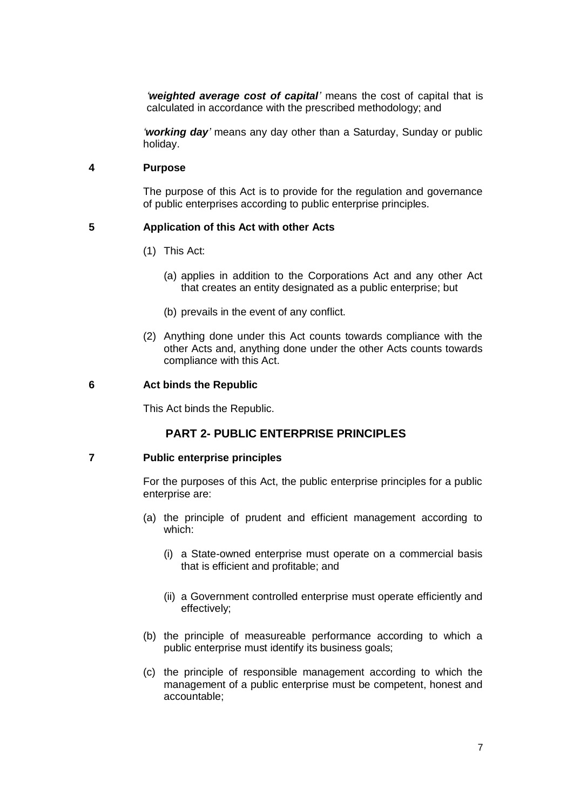*'weighted average cost of capital'* means the cost of capital that is calculated in accordance with the prescribed methodology; and

*'working day'* means any day other than a Saturday, Sunday or public holiday.

#### <span id="page-6-0"></span>**4 Purpose**

The purpose of this Act is to provide for the regulation and governance of public enterprises according to public enterprise principles.

## <span id="page-6-1"></span>**5 Application of this Act with other Acts**

- (1) This Act:
	- (a) applies in addition to the Corporations Act and any other Act that creates an entity designated as a public enterprise; but
	- (b) prevails in the event of any conflict.
- (2) Anything done under this Act counts towards compliance with the other Acts and, anything done under the other Acts counts towards compliance with this Act.

#### <span id="page-6-2"></span>**6 Act binds the Republic**

This Act binds the Republic.

# **PART 2- PUBLIC ENTERPRISE PRINCIPLES**

#### <span id="page-6-4"></span><span id="page-6-3"></span>**7 Public enterprise principles**

For the purposes of this Act, the public enterprise principles for a public enterprise are:

- (a) the principle of prudent and efficient management according to which:
	- (i) a State-owned enterprise must operate on a commercial basis that is efficient and profitable; and
	- (ii) a Government controlled enterprise must operate efficiently and effectively;
- (b) the principle of measureable performance according to which a public enterprise must identify its business goals;
- (c) the principle of responsible management according to which the management of a public enterprise must be competent, honest and accountable;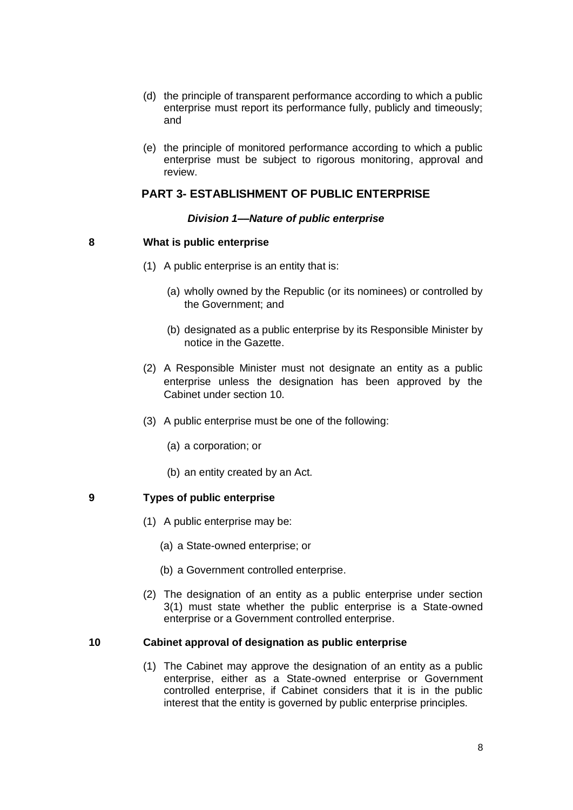- (d) the principle of transparent performance according to which a public enterprise must report its performance fully, publicly and timeously; and
- (e) the principle of monitored performance according to which a public enterprise must be subject to rigorous monitoring, approval and review.

## **PART 3- ESTABLISHMENT OF PUBLIC ENTERPRISE**

#### *Division 1––Nature of public enterprise*

#### <span id="page-7-2"></span><span id="page-7-1"></span><span id="page-7-0"></span>**8 What is public enterprise**

- (1) A public enterprise is an entity that is:
	- (a) wholly owned by the Republic (or its nominees) or controlled by the Government; and
	- (b) designated as a public enterprise by its Responsible Minister by notice in the Gazette.
- (2) A Responsible Minister must not designate an entity as a public enterprise unless the designation has been approved by the Cabinet under section 10.
- (3) A public enterprise must be one of the following:
	- (a) a corporation; or
	- (b) an entity created by an Act.

#### <span id="page-7-3"></span>**9 Types of public enterprise**

- (1) A public enterprise may be:
	- (a) a State-owned enterprise; or
	- (b) a Government controlled enterprise.
- (2) The designation of an entity as a public enterprise under section 3(1) must state whether the public enterprise is a State-owned enterprise or a Government controlled enterprise.

#### <span id="page-7-4"></span>**10 Cabinet approval of designation as public enterprise**

(1) The Cabinet may approve the designation of an entity as a public enterprise, either as a State-owned enterprise or Government controlled enterprise, if Cabinet considers that it is in the public interest that the entity is governed by public enterprise principles.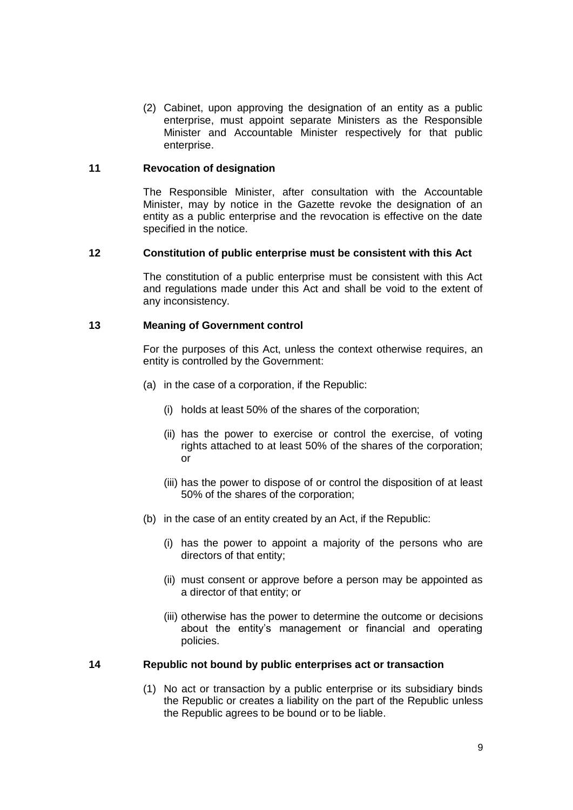(2) Cabinet, upon approving the designation of an entity as a public enterprise, must appoint separate Ministers as the Responsible Minister and Accountable Minister respectively for that public enterprise.

## <span id="page-8-0"></span>**11 Revocation of designation**

The Responsible Minister, after consultation with the Accountable Minister, may by notice in the Gazette revoke the designation of an entity as a public enterprise and the revocation is effective on the date specified in the notice.

## <span id="page-8-1"></span>**12 Constitution of public enterprise must be consistent with this Act**

The constitution of a public enterprise must be consistent with this Act and regulations made under this Act and shall be void to the extent of any inconsistency.

## <span id="page-8-2"></span>**13 Meaning of Government control**

For the purposes of this Act, unless the context otherwise requires, an entity is controlled by the Government:

- (a) in the case of a corporation, if the Republic:
	- (i) holds at least 50% of the shares of the corporation;
	- (ii) has the power to exercise or control the exercise, of voting rights attached to at least 50% of the shares of the corporation; or
	- (iii) has the power to dispose of or control the disposition of at least 50% of the shares of the corporation;
- (b) in the case of an entity created by an Act, if the Republic:
	- (i) has the power to appoint a majority of the persons who are directors of that entity;
	- (ii) must consent or approve before a person may be appointed as a director of that entity; or
	- (iii) otherwise has the power to determine the outcome or decisions about the entity's management or financial and operating policies.

#### <span id="page-8-3"></span>**14 Republic not bound by public enterprises act or transaction**

(1) No act or transaction by a public enterprise or its subsidiary binds the Republic or creates a liability on the part of the Republic unless the Republic agrees to be bound or to be liable.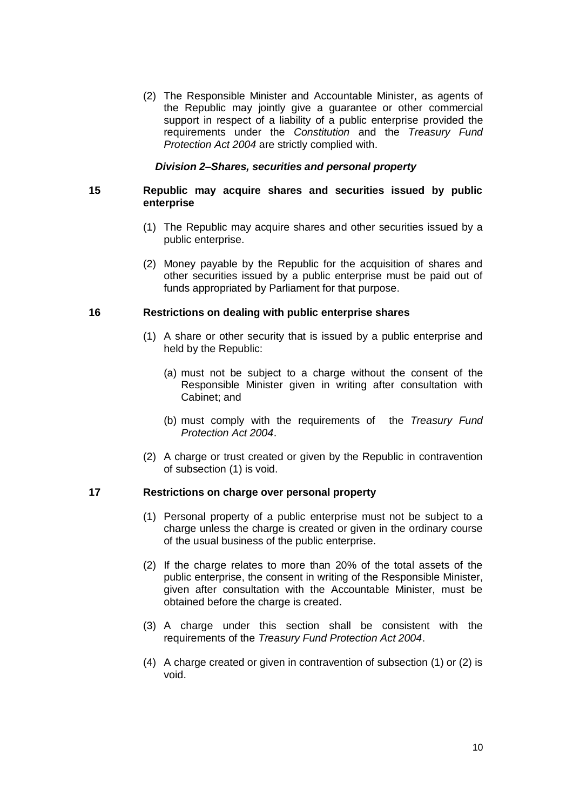(2) The Responsible Minister and Accountable Minister, as agents of the Republic may jointly give a guarantee or other commercial support in respect of a liability of a public enterprise provided the requirements under the *Constitution* and the *Treasury Fund Protection Act 2004* are strictly complied with.

## *Division 2–Shares, securities and personal property*

## <span id="page-9-1"></span><span id="page-9-0"></span>**15 Republic may acquire shares and securities issued by public enterprise**

- (1) The Republic may acquire shares and other securities issued by a public enterprise.
- (2) Money payable by the Republic for the acquisition of shares and other securities issued by a public enterprise must be paid out of funds appropriated by Parliament for that purpose.

## <span id="page-9-2"></span>**16 Restrictions on dealing with public enterprise shares**

- (1) A share or other security that is issued by a public enterprise and held by the Republic:
	- (a) must not be subject to a charge without the consent of the Responsible Minister given in writing after consultation with Cabinet; and
	- (b) must comply with the requirements of the *Treasury Fund Protection Act 2004*.
- (2) A charge or trust created or given by the Republic in contravention of subsection (1) is void.

# <span id="page-9-3"></span>**17 Restrictions on charge over personal property**

- (1) Personal property of a public enterprise must not be subject to a charge unless the charge is created or given in the ordinary course of the usual business of the public enterprise.
- (2) If the charge relates to more than 20% of the total assets of the public enterprise, the consent in writing of the Responsible Minister, given after consultation with the Accountable Minister, must be obtained before the charge is created.
- (3) A charge under this section shall be consistent with the requirements of the *Treasury Fund Protection Act 2004*.
- (4) A charge created or given in contravention of subsection (1) or (2) is void.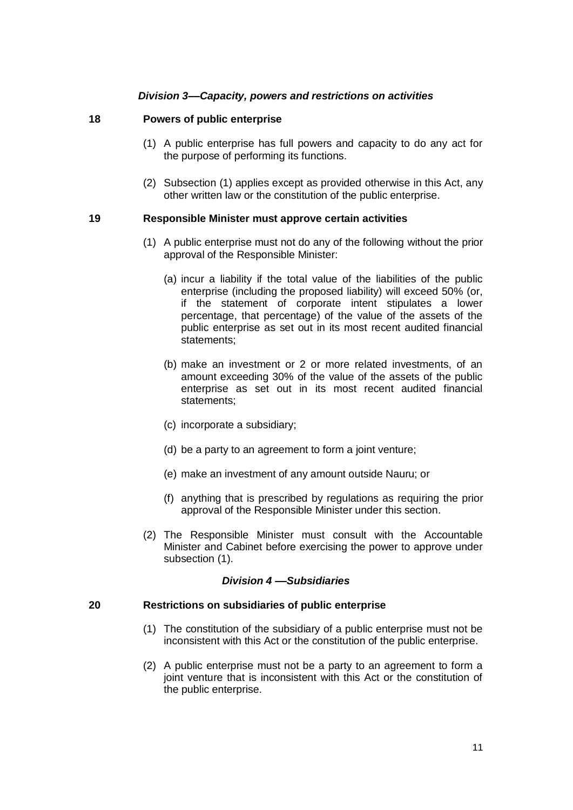# *Division 3––Capacity, powers and restrictions on activities*

#### <span id="page-10-1"></span><span id="page-10-0"></span>**18 Powers of public enterprise**

- (1) A public enterprise has full powers and capacity to do any act for the purpose of performing its functions.
- (2) Subsection (1) applies except as provided otherwise in this Act, any other written law or the constitution of the public enterprise.

## <span id="page-10-2"></span>**19 Responsible Minister must approve certain activities**

- (1) A public enterprise must not do any of the following without the prior approval of the Responsible Minister:
	- (a) incur a liability if the total value of the liabilities of the public enterprise (including the proposed liability) will exceed 50% (or, if the statement of corporate intent stipulates a lower percentage, that percentage) of the value of the assets of the public enterprise as set out in its most recent audited financial statements;
	- (b) make an investment or 2 or more related investments, of an amount exceeding 30% of the value of the assets of the public enterprise as set out in its most recent audited financial statements;
	- (c) incorporate a subsidiary;
	- (d) be a party to an agreement to form a joint venture;
	- (e) make an investment of any amount outside Nauru; or
	- (f) anything that is prescribed by regulations as requiring the prior approval of the Responsible Minister under this section.
- (2) The Responsible Minister must consult with the Accountable Minister and Cabinet before exercising the power to approve under subsection (1).

#### *Division 4 ––Subsidiaries*

#### <span id="page-10-4"></span><span id="page-10-3"></span>**20 Restrictions on subsidiaries of public enterprise**

- (1) The constitution of the subsidiary of a public enterprise must not be inconsistent with this Act or the constitution of the public enterprise.
- (2) A public enterprise must not be a party to an agreement to form a joint venture that is inconsistent with this Act or the constitution of the public enterprise.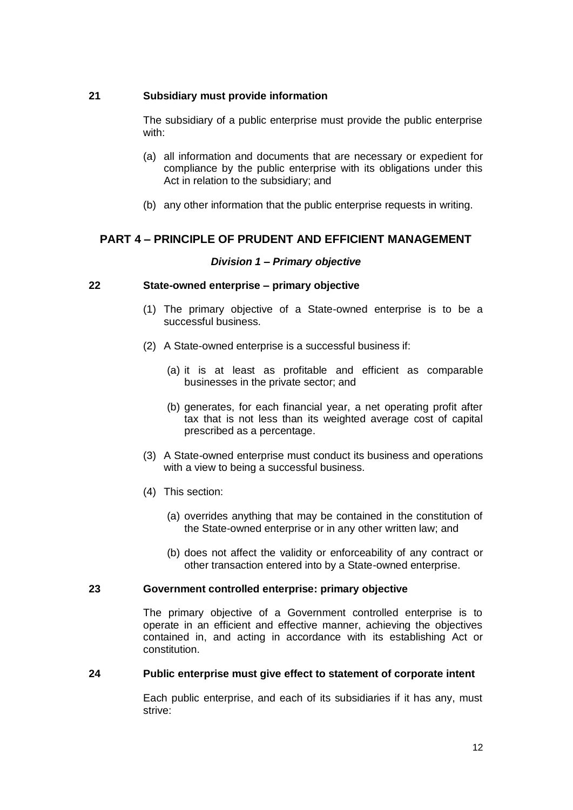# <span id="page-11-0"></span>**21 Subsidiary must provide information**

The subsidiary of a public enterprise must provide the public enterprise with:

- (a) all information and documents that are necessary or expedient for compliance by the public enterprise with its obligations under this Act in relation to the subsidiary; and
- (b) any other information that the public enterprise requests in writing.

# <span id="page-11-2"></span><span id="page-11-1"></span>**PART 4 – PRINCIPLE OF PRUDENT AND EFFICIENT MANAGEMENT**

## *Division 1 – Primary objective*

## <span id="page-11-3"></span>**22 State-owned enterprise – primary objective**

- (1) The primary objective of a State-owned enterprise is to be a successful business.
- (2) A State-owned enterprise is a successful business if:
	- (a) it is at least as profitable and efficient as comparable businesses in the private sector; and
	- (b) generates, for each financial year, a net operating profit after tax that is not less than its weighted average cost of capital prescribed as a percentage.
- (3) A State-owned enterprise must conduct its business and operations with a view to being a successful business.
- (4) This section:
	- (a) overrides anything that may be contained in the constitution of the State-owned enterprise or in any other written law; and
	- (b) does not affect the validity or enforceability of any contract or other transaction entered into by a State-owned enterprise.

#### <span id="page-11-4"></span>**23 Government controlled enterprise: primary objective**

The primary objective of a Government controlled enterprise is to operate in an efficient and effective manner, achieving the objectives contained in, and acting in accordance with its establishing Act or constitution.

#### <span id="page-11-5"></span>**24 Public enterprise must give effect to statement of corporate intent**

Each public enterprise, and each of its subsidiaries if it has any, must strive: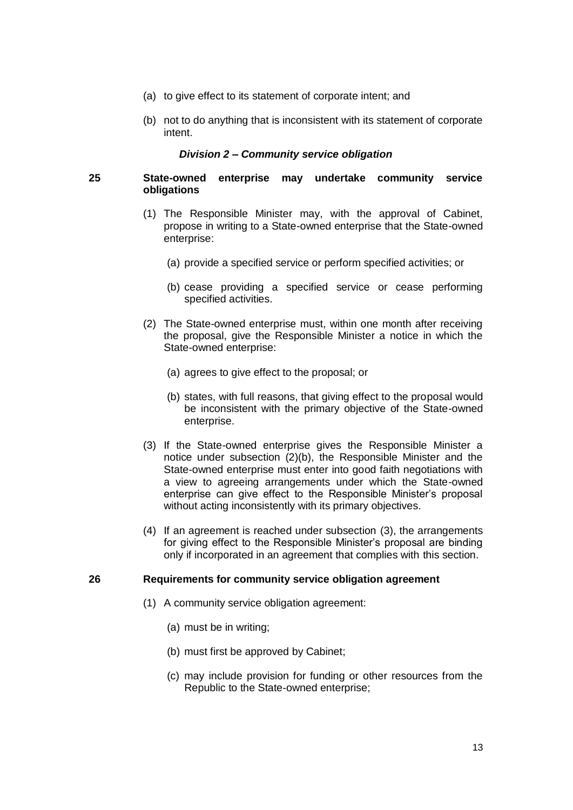- (a) to give effect to its statement of corporate intent; and
- (b) not to do anything that is inconsistent with its statement of corporate intent.

#### *Division 2 – Community service obligation*

## <span id="page-12-1"></span><span id="page-12-0"></span>**25 State-owned enterprise may undertake community service obligations**

- (1) The Responsible Minister may, with the approval of Cabinet, propose in writing to a State-owned enterprise that the State-owned enterprise:
	- (a) provide a specified service or perform specified activities; or
	- (b) cease providing a specified service or cease performing specified activities.
- (2) The State-owned enterprise must, within one month after receiving the proposal, give the Responsible Minister a notice in which the State-owned enterprise:
	- (a) agrees to give effect to the proposal; or
	- (b) states, with full reasons, that giving effect to the proposal would be inconsistent with the primary objective of the State-owned enterprise.
- (3) If the State-owned enterprise gives the Responsible Minister a notice under subsection (2)(b), the Responsible Minister and the State-owned enterprise must enter into good faith negotiations with a view to agreeing arrangements under which the State-owned enterprise can give effect to the Responsible Minister's proposal without acting inconsistently with its primary objectives.
- (4) If an agreement is reached under subsection (3), the arrangements for giving effect to the Responsible Minister's proposal are binding only if incorporated in an agreement that complies with this section.

## <span id="page-12-2"></span>**26 Requirements for community service obligation agreement**

- (1) A community service obligation agreement:
	- (a) must be in writing;
	- (b) must first be approved by Cabinet;
	- (c) may include provision for funding or other resources from the Republic to the State-owned enterprise;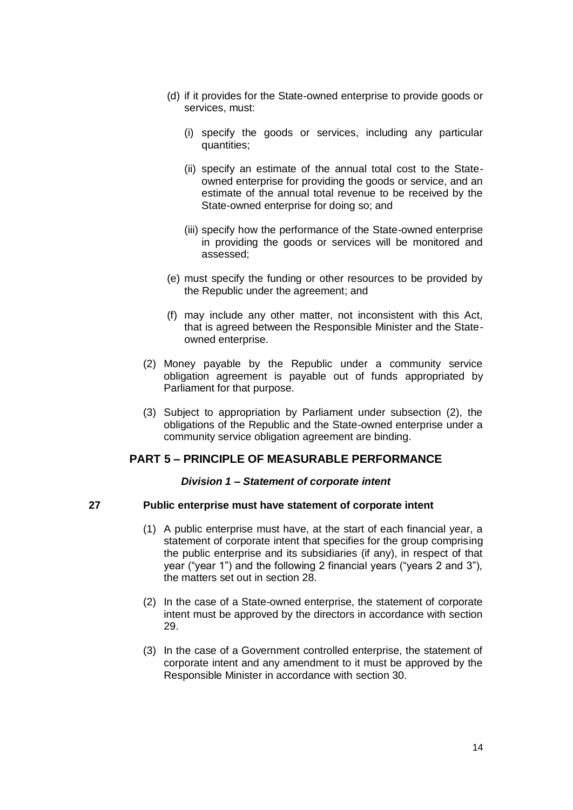- (d) if it provides for the State-owned enterprise to provide goods or services, must:
	- (i) specify the goods or services, including any particular quantities;
	- (ii) specify an estimate of the annual total cost to the Stateowned enterprise for providing the goods or service, and an estimate of the annual total revenue to be received by the State-owned enterprise for doing so; and
	- (iii) specify how the performance of the State-owned enterprise in providing the goods or services will be monitored and assessed;
- (e) must specify the funding or other resources to be provided by the Republic under the agreement; and
- (f) may include any other matter, not inconsistent with this Act, that is agreed between the Responsible Minister and the Stateowned enterprise.
- (2) Money payable by the Republic under a community service obligation agreement is payable out of funds appropriated by Parliament for that purpose.
- (3) Subject to appropriation by Parliament under subsection (2), the obligations of the Republic and the State-owned enterprise under a community service obligation agreement are binding.

# <span id="page-13-0"></span>**PART 5 – PRINCIPLE OF MEASURABLE PERFORMANCE**

#### *Division 1 – Statement of corporate intent*

#### <span id="page-13-2"></span><span id="page-13-1"></span>**27 Public enterprise must have statement of corporate intent**

- (1) A public enterprise must have, at the start of each financial year, a statement of corporate intent that specifies for the group comprising the public enterprise and its subsidiaries (if any), in respect of that year ("year 1") and the following 2 financial years ("years 2 and 3"), the matters set out in section 28.
- (2) In the case of a State-owned enterprise, the statement of corporate intent must be approved by the directors in accordance with section 29.
- (3) In the case of a Government controlled enterprise, the statement of corporate intent and any amendment to it must be approved by the Responsible Minister in accordance with section 30.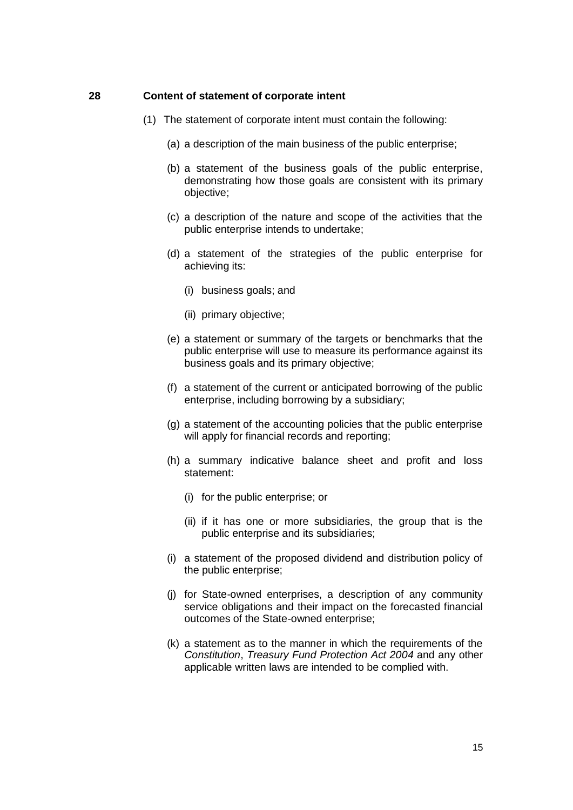#### <span id="page-14-0"></span>**28 Content of statement of corporate intent**

- (1) The statement of corporate intent must contain the following:
	- (a) a description of the main business of the public enterprise;
	- (b) a statement of the business goals of the public enterprise, demonstrating how those goals are consistent with its primary objective;
	- (c) a description of the nature and scope of the activities that the public enterprise intends to undertake;
	- (d) a statement of the strategies of the public enterprise for achieving its:
		- (i) business goals; and
		- (ii) primary objective;
	- (e) a statement or summary of the targets or benchmarks that the public enterprise will use to measure its performance against its business goals and its primary objective;
	- (f) a statement of the current or anticipated borrowing of the public enterprise, including borrowing by a subsidiary;
	- (g) a statement of the accounting policies that the public enterprise will apply for financial records and reporting;
	- (h) a summary indicative balance sheet and profit and loss statement:
		- (i) for the public enterprise; or
		- (ii) if it has one or more subsidiaries, the group that is the public enterprise and its subsidiaries;
	- (i) a statement of the proposed dividend and distribution policy of the public enterprise;
	- (j) for State-owned enterprises, a description of any community service obligations and their impact on the forecasted financial outcomes of the State-owned enterprise;
	- (k) a statement as to the manner in which the requirements of the *Constitution*, *Treasury Fund Protection Act 2004* and any other applicable written laws are intended to be complied with.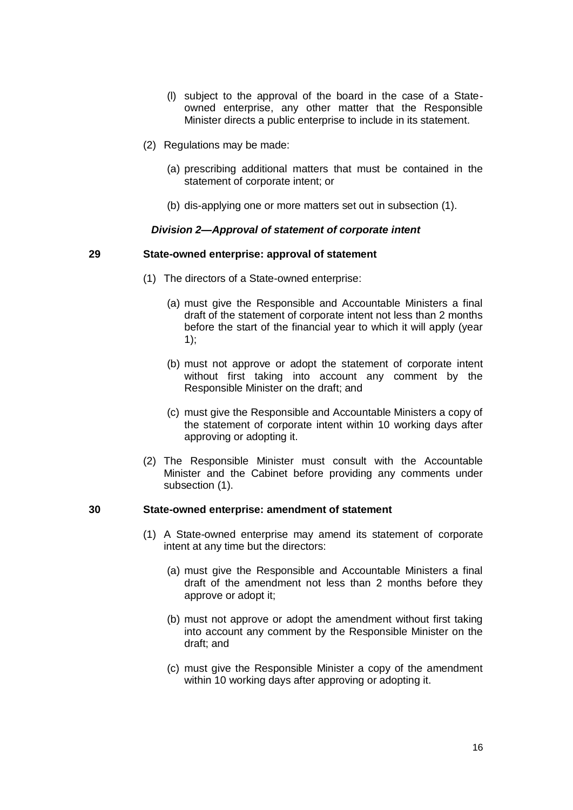- (l) subject to the approval of the board in the case of a Stateowned enterprise, any other matter that the Responsible Minister directs a public enterprise to include in its statement.
- (2) Regulations may be made:
	- (a) prescribing additional matters that must be contained in the statement of corporate intent; or
	- (b) dis-applying one or more matters set out in subsection (1).

## *Division 2—Approval of statement of corporate intent*

#### <span id="page-15-1"></span><span id="page-15-0"></span>**29 State-owned enterprise: approval of statement**

- (1) The directors of a State-owned enterprise:
	- (a) must give the Responsible and Accountable Ministers a final draft of the statement of corporate intent not less than 2 months before the start of the financial year to which it will apply (year 1);
	- (b) must not approve or adopt the statement of corporate intent without first taking into account any comment by the Responsible Minister on the draft; and
	- (c) must give the Responsible and Accountable Ministers a copy of the statement of corporate intent within 10 working days after approving or adopting it.
- (2) The Responsible Minister must consult with the Accountable Minister and the Cabinet before providing any comments under subsection (1).

#### <span id="page-15-2"></span>**30 State-owned enterprise: amendment of statement**

- (1) A State-owned enterprise may amend its statement of corporate intent at any time but the directors:
	- (a) must give the Responsible and Accountable Ministers a final draft of the amendment not less than 2 months before they approve or adopt it;
	- (b) must not approve or adopt the amendment without first taking into account any comment by the Responsible Minister on the draft; and
	- (c) must give the Responsible Minister a copy of the amendment within 10 working days after approving or adopting it.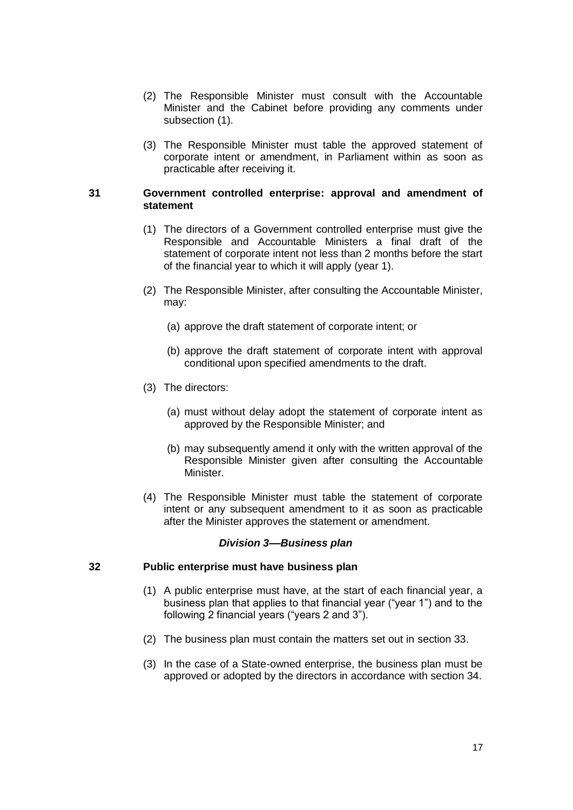- (2) The Responsible Minister must consult with the Accountable Minister and the Cabinet before providing any comments under subsection (1).
- (3) The Responsible Minister must table the approved statement of corporate intent or amendment, in Parliament within as soon as practicable after receiving it.

## <span id="page-16-0"></span>**31 Government controlled enterprise: approval and amendment of statement**

- (1) The directors of a Government controlled enterprise must give the Responsible and Accountable Ministers a final draft of the statement of corporate intent not less than 2 months before the start of the financial year to which it will apply (year 1).
- (2) The Responsible Minister, after consulting the Accountable Minister, may:
	- (a) approve the draft statement of corporate intent; or
	- (b) approve the draft statement of corporate intent with approval conditional upon specified amendments to the draft.
- (3) The directors:
	- (a) must without delay adopt the statement of corporate intent as approved by the Responsible Minister; and
	- (b) may subsequently amend it only with the written approval of the Responsible Minister given after consulting the Accountable Minister.
- (4) The Responsible Minister must table the statement of corporate intent or any subsequent amendment to it as soon as practicable after the Minister approves the statement or amendment.

#### *Division 3––Business plan*

#### <span id="page-16-2"></span><span id="page-16-1"></span>**32 Public enterprise must have business plan**

- (1) A public enterprise must have, at the start of each financial year, a business plan that applies to that financial year ("year 1") and to the following 2 financial years ("years 2 and 3").
- (2) The business plan must contain the matters set out in section 33.
- (3) In the case of a State-owned enterprise, the business plan must be approved or adopted by the directors in accordance with section 34.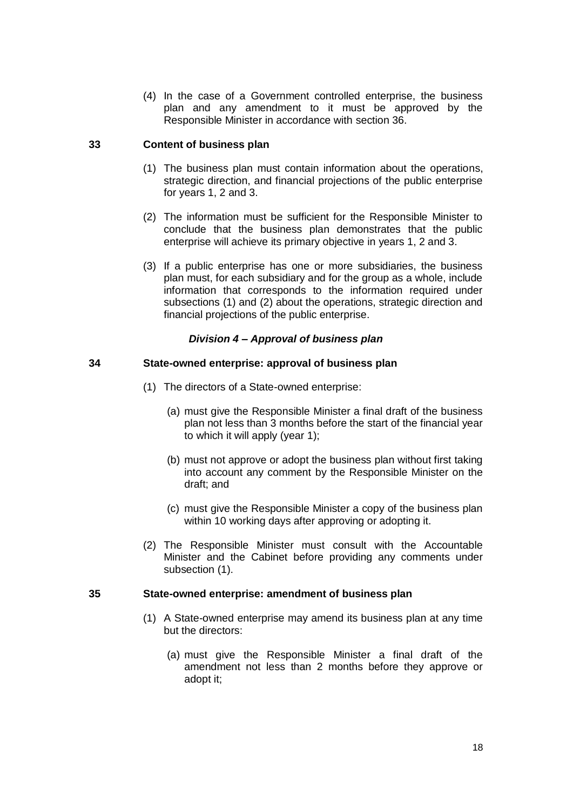(4) In the case of a Government controlled enterprise, the business plan and any amendment to it must be approved by the Responsible Minister in accordance with section 36.

## <span id="page-17-0"></span>**33 Content of business plan**

- (1) The business plan must contain information about the operations, strategic direction, and financial projections of the public enterprise for years 1, 2 and 3.
- (2) The information must be sufficient for the Responsible Minister to conclude that the business plan demonstrates that the public enterprise will achieve its primary objective in years 1, 2 and 3.
- (3) If a public enterprise has one or more subsidiaries, the business plan must, for each subsidiary and for the group as a whole, include information that corresponds to the information required under subsections (1) and (2) about the operations, strategic direction and financial projections of the public enterprise.

# *Division 4 – Approval of business plan*

## <span id="page-17-2"></span><span id="page-17-1"></span>**34 State-owned enterprise: approval of business plan**

- (1) The directors of a State-owned enterprise:
	- (a) must give the Responsible Minister a final draft of the business plan not less than 3 months before the start of the financial year to which it will apply (year 1);
	- (b) must not approve or adopt the business plan without first taking into account any comment by the Responsible Minister on the draft; and
	- (c) must give the Responsible Minister a copy of the business plan within 10 working days after approving or adopting it.
- (2) The Responsible Minister must consult with the Accountable Minister and the Cabinet before providing any comments under subsection (1).

#### <span id="page-17-3"></span>**35 State-owned enterprise: amendment of business plan**

- (1) A State-owned enterprise may amend its business plan at any time but the directors:
	- (a) must give the Responsible Minister a final draft of the amendment not less than 2 months before they approve or adopt it;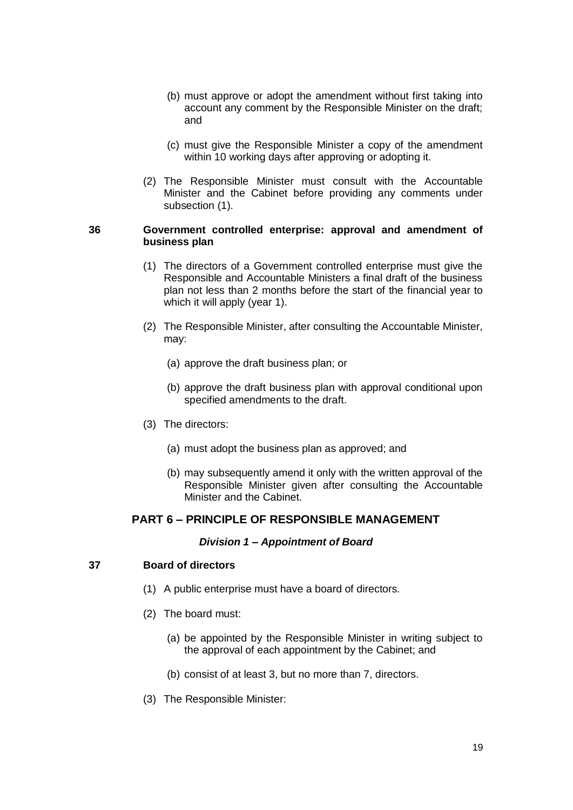- (b) must approve or adopt the amendment without first taking into account any comment by the Responsible Minister on the draft; and
- (c) must give the Responsible Minister a copy of the amendment within 10 working days after approving or adopting it.
- (2) The Responsible Minister must consult with the Accountable Minister and the Cabinet before providing any comments under subsection (1).

## <span id="page-18-0"></span>**36 Government controlled enterprise: approval and amendment of business plan**

- (1) The directors of a Government controlled enterprise must give the Responsible and Accountable Ministers a final draft of the business plan not less than 2 months before the start of the financial year to which it will apply (year 1).
- (2) The Responsible Minister, after consulting the Accountable Minister, may:
	- (a) approve the draft business plan; or
	- (b) approve the draft business plan with approval conditional upon specified amendments to the draft.
- (3) The directors:
	- (a) must adopt the business plan as approved; and
	- (b) may subsequently amend it only with the written approval of the Responsible Minister given after consulting the Accountable Minister and the Cabinet.

# <span id="page-18-1"></span>**PART 6 – PRINCIPLE OF RESPONSIBLE MANAGEMENT**

#### *Division 1 – Appointment of Board*

# <span id="page-18-3"></span><span id="page-18-2"></span>**37 Board of directors**

- (1) A public enterprise must have a board of directors.
- (2) The board must:
	- (a) be appointed by the Responsible Minister in writing subject to the approval of each appointment by the Cabinet; and
	- (b) consist of at least 3, but no more than 7, directors.
- (3) The Responsible Minister: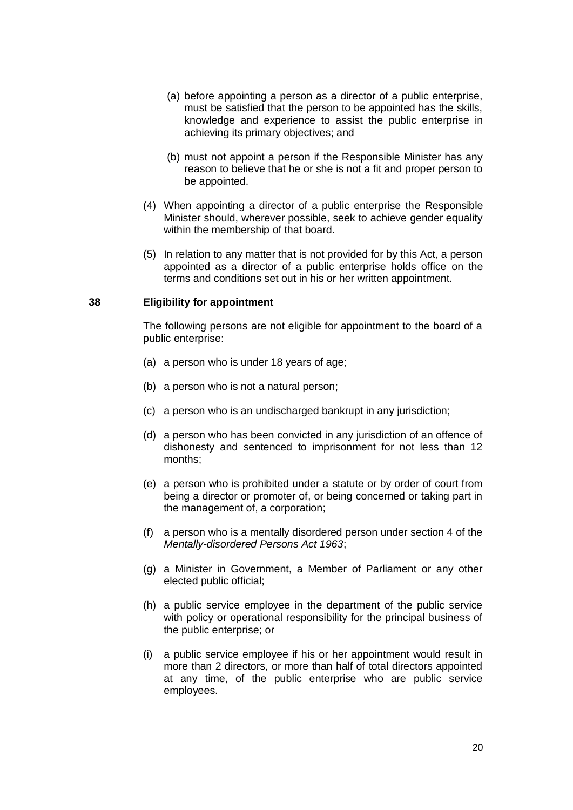- (a) before appointing a person as a director of a public enterprise, must be satisfied that the person to be appointed has the skills, knowledge and experience to assist the public enterprise in achieving its primary objectives; and
- (b) must not appoint a person if the Responsible Minister has any reason to believe that he or she is not a fit and proper person to be appointed.
- (4) When appointing a director of a public enterprise the Responsible Minister should, wherever possible, seek to achieve gender equality within the membership of that board.
- (5) In relation to any matter that is not provided for by this Act, a person appointed as a director of a public enterprise holds office on the terms and conditions set out in his or her written appointment.

#### <span id="page-19-0"></span>**38 Eligibility for appointment**

The following persons are not eligible for appointment to the board of a public enterprise:

- (a) a person who is under 18 years of age;
- (b) a person who is not a natural person;
- (c) a person who is an undischarged bankrupt in any jurisdiction;
- (d) a person who has been convicted in any jurisdiction of an offence of dishonesty and sentenced to imprisonment for not less than 12 months;
- (e) a person who is prohibited under a statute or by order of court from being a director or promoter of, or being concerned or taking part in the management of, a corporation;
- (f) a person who is a mentally disordered person under section 4 of the *Mentally-disordered Persons Act 1963*;
- (g) a Minister in Government, a Member of Parliament or any other elected public official;
- (h) a public service employee in the department of the public service with policy or operational responsibility for the principal business of the public enterprise; or
- (i) a public service employee if his or her appointment would result in more than 2 directors, or more than half of total directors appointed at any time, of the public enterprise who are public service employees.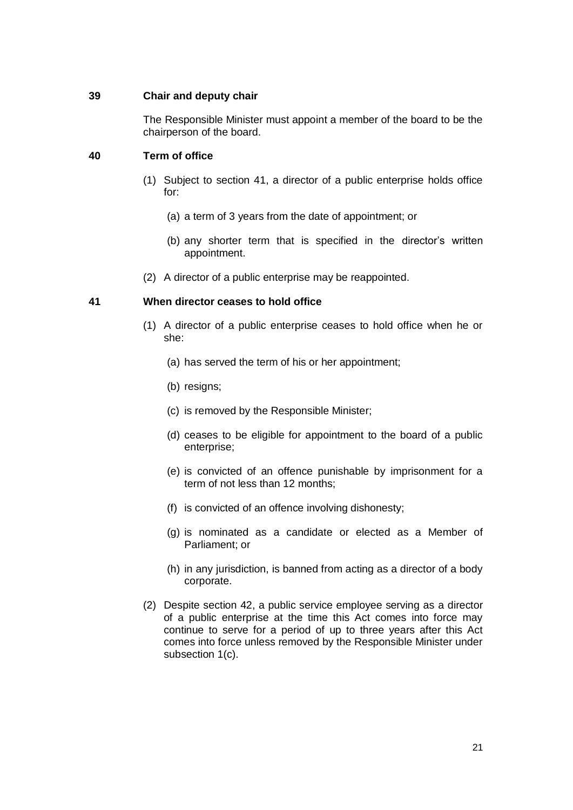## <span id="page-20-0"></span>**39 Chair and deputy chair**

The Responsible Minister must appoint a member of the board to be the chairperson of the board.

# <span id="page-20-1"></span>**40 Term of office**

- (1) Subject to section 41, a director of a public enterprise holds office for:
	- (a) a term of 3 years from the date of appointment; or
	- (b) any shorter term that is specified in the director's written appointment.
- (2) A director of a public enterprise may be reappointed.

## <span id="page-20-2"></span>**41 When director ceases to hold office**

- (1) A director of a public enterprise ceases to hold office when he or she:
	- (a) has served the term of his or her appointment;
	- (b) resigns;
	- (c) is removed by the Responsible Minister;
	- (d) ceases to be eligible for appointment to the board of a public enterprise;
	- (e) is convicted of an offence punishable by imprisonment for a term of not less than 12 months;
	- (f) is convicted of an offence involving dishonesty;
	- (g) is nominated as a candidate or elected as a Member of Parliament; or
	- (h) in any jurisdiction, is banned from acting as a director of a body corporate.
- (2) Despite section 42, a public service employee serving as a director of a public enterprise at the time this Act comes into force may continue to serve for a period of up to three years after this Act comes into force unless removed by the Responsible Minister under subsection 1(c).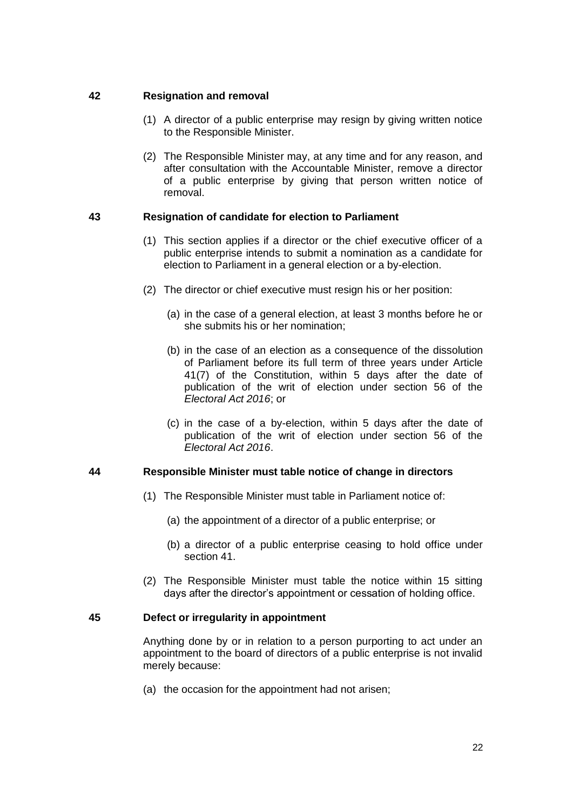# <span id="page-21-0"></span>**42 Resignation and removal**

- (1) A director of a public enterprise may resign by giving written notice to the Responsible Minister.
- (2) The Responsible Minister may, at any time and for any reason, and after consultation with the Accountable Minister, remove a director of a public enterprise by giving that person written notice of removal.

# <span id="page-21-1"></span>**43 Resignation of candidate for election to Parliament**

- (1) This section applies if a director or the chief executive officer of a public enterprise intends to submit a nomination as a candidate for election to Parliament in a general election or a by-election.
- (2) The director or chief executive must resign his or her position:
	- (a) in the case of a general election, at least 3 months before he or she submits his or her nomination;
	- (b) in the case of an election as a consequence of the dissolution of Parliament before its full term of three years under Article 41(7) of the Constitution, within 5 days after the date of publication of the writ of election under section 56 of the *Electoral Act 2016*; or
	- (c) in the case of a by-election, within 5 days after the date of publication of the writ of election under section 56 of the *Electoral Act 2016*.

# <span id="page-21-2"></span>**44 Responsible Minister must table notice of change in directors**

- (1) The Responsible Minister must table in Parliament notice of:
	- (a) the appointment of a director of a public enterprise; or
	- (b) a director of a public enterprise ceasing to hold office under section 41.
- (2) The Responsible Minister must table the notice within 15 sitting days after the director's appointment or cessation of holding office.

# <span id="page-21-3"></span>**45 Defect or irregularity in appointment**

Anything done by or in relation to a person purporting to act under an appointment to the board of directors of a public enterprise is not invalid merely because:

(a) the occasion for the appointment had not arisen;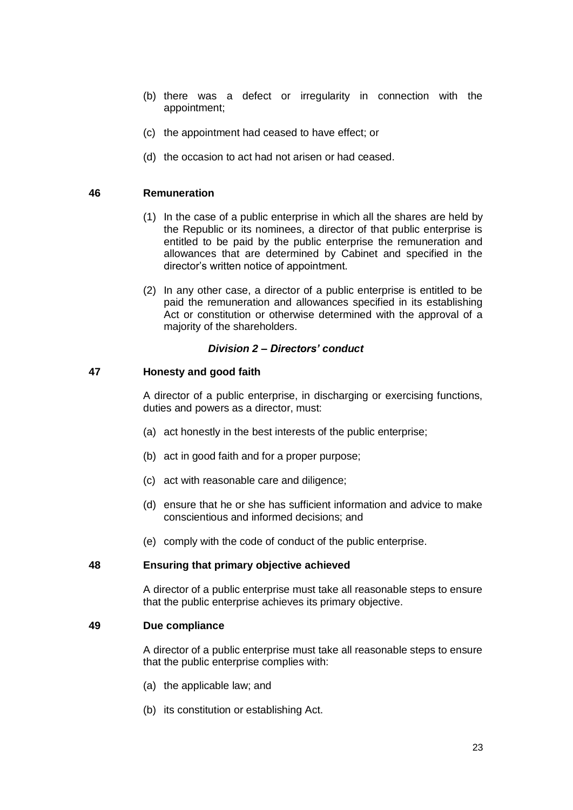- (b) there was a defect or irregularity in connection with the appointment;
- (c) the appointment had ceased to have effect; or
- (d) the occasion to act had not arisen or had ceased.

## <span id="page-22-0"></span>**46 Remuneration**

- (1) In the case of a public enterprise in which all the shares are held by the Republic or its nominees, a director of that public enterprise is entitled to be paid by the public enterprise the remuneration and allowances that are determined by Cabinet and specified in the director's written notice of appointment.
- (2) In any other case, a director of a public enterprise is entitled to be paid the remuneration and allowances specified in its establishing Act or constitution or otherwise determined with the approval of a majority of the shareholders.

## *Division 2 – Directors' conduct*

## <span id="page-22-2"></span><span id="page-22-1"></span>**47 Honesty and good faith**

A director of a public enterprise, in discharging or exercising functions, duties and powers as a director, must:

- (a) act honestly in the best interests of the public enterprise;
- (b) act in good faith and for a proper purpose;
- (c) act with reasonable care and diligence;
- (d) ensure that he or she has sufficient information and advice to make conscientious and informed decisions; and
- (e) comply with the code of conduct of the public enterprise.

#### <span id="page-22-3"></span>**48 Ensuring that primary objective achieved**

A director of a public enterprise must take all reasonable steps to ensure that the public enterprise achieves its primary objective.

#### <span id="page-22-4"></span>**49 Due compliance**

A director of a public enterprise must take all reasonable steps to ensure that the public enterprise complies with:

- (a) the applicable law; and
- (b) its constitution or establishing Act.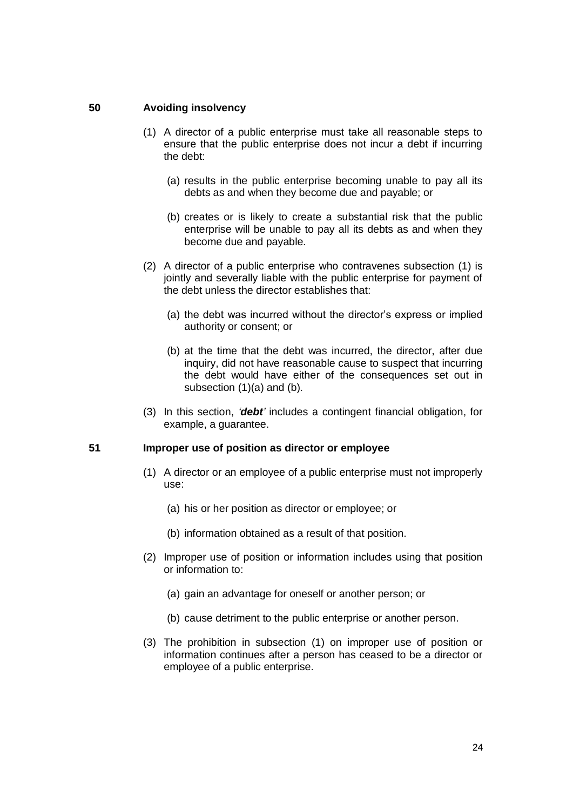#### <span id="page-23-0"></span>**50 Avoiding insolvency**

- (1) A director of a public enterprise must take all reasonable steps to ensure that the public enterprise does not incur a debt if incurring the debt:
	- (a) results in the public enterprise becoming unable to pay all its debts as and when they become due and payable; or
	- (b) creates or is likely to create a substantial risk that the public enterprise will be unable to pay all its debts as and when they become due and payable.
- (2) A director of a public enterprise who contravenes subsection (1) is jointly and severally liable with the public enterprise for payment of the debt unless the director establishes that:
	- (a) the debt was incurred without the director's express or implied authority or consent; or
	- (b) at the time that the debt was incurred, the director, after due inquiry, did not have reasonable cause to suspect that incurring the debt would have either of the consequences set out in subsection (1)(a) and (b).
- (3) In this section, *'debt'* includes a contingent financial obligation, for example, a guarantee.

## <span id="page-23-1"></span>**51 Improper use of position as director or employee**

- (1) A director or an employee of a public enterprise must not improperly use:
	- (a) his or her position as director or employee; or
	- (b) information obtained as a result of that position.
- (2) Improper use of position or information includes using that position or information to:
	- (a) gain an advantage for oneself or another person; or
	- (b) cause detriment to the public enterprise or another person.
- (3) The prohibition in subsection (1) on improper use of position or information continues after a person has ceased to be a director or employee of a public enterprise.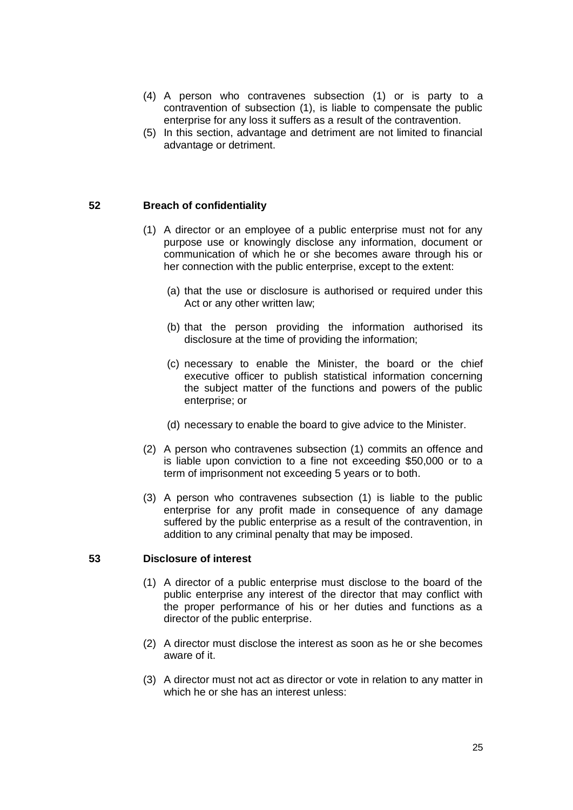- (4) A person who contravenes subsection (1) or is party to a contravention of subsection (1), is liable to compensate the public enterprise for any loss it suffers as a result of the contravention.
- (5) In this section, advantage and detriment are not limited to financial advantage or detriment.

## <span id="page-24-0"></span>**52 Breach of confidentiality**

- (1) A director or an employee of a public enterprise must not for any purpose use or knowingly disclose any information, document or communication of which he or she becomes aware through his or her connection with the public enterprise, except to the extent:
	- (a) that the use or disclosure is authorised or required under this Act or any other written law;
	- (b) that the person providing the information authorised its disclosure at the time of providing the information;
	- (c) necessary to enable the Minister, the board or the chief executive officer to publish statistical information concerning the subject matter of the functions and powers of the public enterprise; or
	- (d) necessary to enable the board to give advice to the Minister.
- (2) A person who contravenes subsection (1) commits an offence and is liable upon conviction to a fine not exceeding \$50,000 or to a term of imprisonment not exceeding 5 years or to both.
- (3) A person who contravenes subsection (1) is liable to the public enterprise for any profit made in consequence of any damage suffered by the public enterprise as a result of the contravention, in addition to any criminal penalty that may be imposed.

### <span id="page-24-1"></span>**53 Disclosure of interest**

- (1) A director of a public enterprise must disclose to the board of the public enterprise any interest of the director that may conflict with the proper performance of his or her duties and functions as a director of the public enterprise.
- (2) A director must disclose the interest as soon as he or she becomes aware of it.
- (3) A director must not act as director or vote in relation to any matter in which he or she has an interest unless: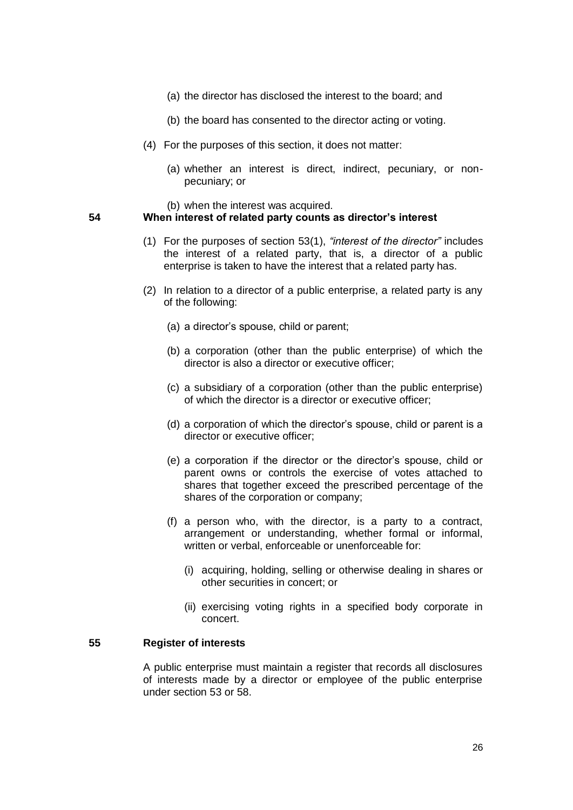- (a) the director has disclosed the interest to the board; and
- (b) the board has consented to the director acting or voting.
- (4) For the purposes of this section, it does not matter:
	- (a) whether an interest is direct, indirect, pecuniary, or nonpecuniary; or
	- (b) when the interest was acquired.

## <span id="page-25-0"></span>**54 When interest of related party counts as director's interest**

- (1) For the purposes of section 53(1), *"interest of the director"* includes the interest of a related party, that is, a director of a public enterprise is taken to have the interest that a related party has.
- (2) In relation to a director of a public enterprise, a related party is any of the following:
	- (a) a director's spouse, child or parent;
	- (b) a corporation (other than the public enterprise) of which the director is also a director or executive officer;
	- (c) a subsidiary of a corporation (other than the public enterprise) of which the director is a director or executive officer;
	- (d) a corporation of which the director's spouse, child or parent is a director or executive officer;
	- (e) a corporation if the director or the director's spouse, child or parent owns or controls the exercise of votes attached to shares that together exceed the prescribed percentage of the shares of the corporation or company;
	- (f) a person who, with the director, is a party to a contract, arrangement or understanding, whether formal or informal, written or verbal, enforceable or unenforceable for:
		- (i) acquiring, holding, selling or otherwise dealing in shares or other securities in concert; or
		- (ii) exercising voting rights in a specified body corporate in concert.

## <span id="page-25-1"></span>**55 Register of interests**

A public enterprise must maintain a register that records all disclosures of interests made by a director or employee of the public enterprise under section 53 or 58.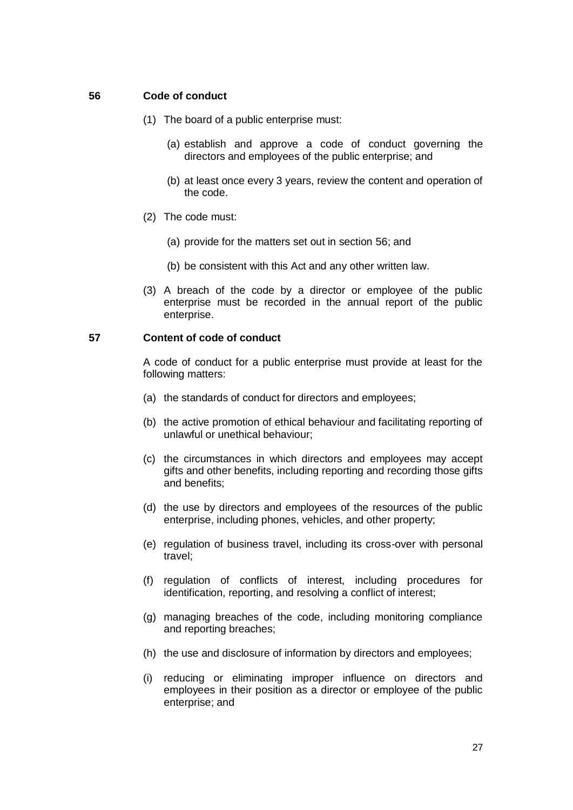## <span id="page-26-0"></span>**56 Code of conduct**

- (1) The board of a public enterprise must:
	- (a) establish and approve a code of conduct governing the directors and employees of the public enterprise; and
	- (b) at least once every 3 years, review the content and operation of the code.
- (2) The code must:
	- (a) provide for the matters set out in section 56; and
	- (b) be consistent with this Act and any other written law.
- (3) A breach of the code by a director or employee of the public enterprise must be recorded in the annual report of the public enterprise.

## <span id="page-26-1"></span>**57 Content of code of conduct**

A code of conduct for a public enterprise must provide at least for the following matters:

- (a) the standards of conduct for directors and employees;
- (b) the active promotion of ethical behaviour and facilitating reporting of unlawful or unethical behaviour;
- (c) the circumstances in which directors and employees may accept gifts and other benefits, including reporting and recording those gifts and benefits;
- (d) the use by directors and employees of the resources of the public enterprise, including phones, vehicles, and other property;
- (e) regulation of business travel, including its cross-over with personal travel;
- (f) regulation of conflicts of interest, including procedures for identification, reporting, and resolving a conflict of interest;
- (g) managing breaches of the code, including monitoring compliance and reporting breaches;
- (h) the use and disclosure of information by directors and employees;
- (i) reducing or eliminating improper influence on directors and employees in their position as a director or employee of the public enterprise; and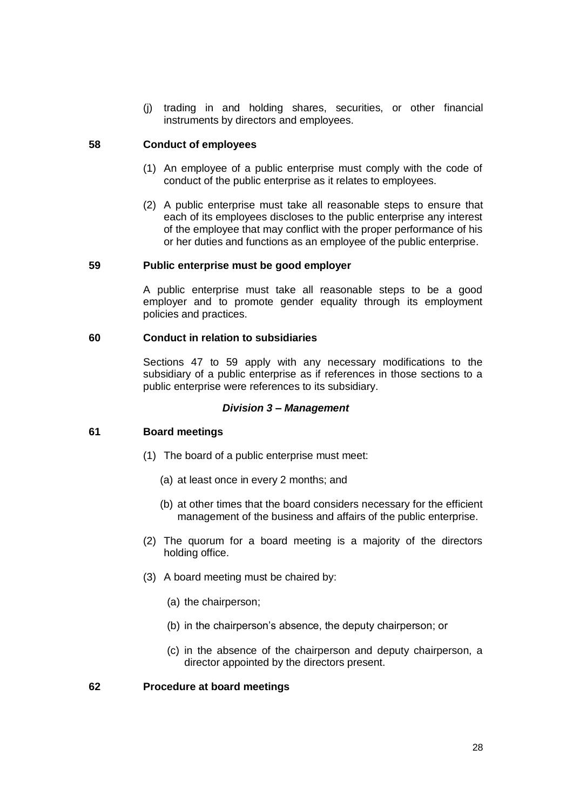(j) trading in and holding shares, securities, or other financial instruments by directors and employees.

## <span id="page-27-0"></span>**58 Conduct of employees**

- (1) An employee of a public enterprise must comply with the code of conduct of the public enterprise as it relates to employees.
- (2) A public enterprise must take all reasonable steps to ensure that each of its employees discloses to the public enterprise any interest of the employee that may conflict with the proper performance of his or her duties and functions as an employee of the public enterprise.

## <span id="page-27-1"></span>**59 Public enterprise must be good employer**

A public enterprise must take all reasonable steps to be a good employer and to promote gender equality through its employment policies and practices.

## <span id="page-27-2"></span>**60 Conduct in relation to subsidiaries**

Sections 47 to 59 apply with any necessary modifications to the subsidiary of a public enterprise as if references in those sections to a public enterprise were references to its subsidiary.

## *Division 3 – Management*

# <span id="page-27-4"></span><span id="page-27-3"></span>**61 Board meetings**

- (1) The board of a public enterprise must meet:
	- (a) at least once in every 2 months; and
	- (b) at other times that the board considers necessary for the efficient management of the business and affairs of the public enterprise.
- (2) The quorum for a board meeting is a majority of the directors holding office.
- (3) A board meeting must be chaired by:
	- (a) the chairperson;
	- (b) in the chairperson's absence, the deputy chairperson; or
	- (c) in the absence of the chairperson and deputy chairperson, a director appointed by the directors present.

#### <span id="page-27-5"></span>**62 Procedure at board meetings**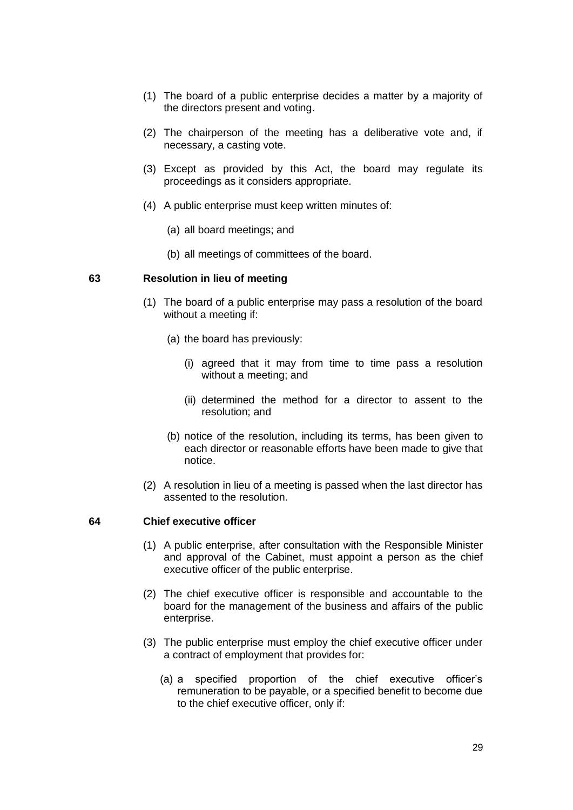- (1) The board of a public enterprise decides a matter by a majority of the directors present and voting.
- (2) The chairperson of the meeting has a deliberative vote and, if necessary, a casting vote.
- (3) Except as provided by this Act, the board may regulate its proceedings as it considers appropriate.
- (4) A public enterprise must keep written minutes of:
	- (a) all board meetings; and
	- (b) all meetings of committees of the board.

#### <span id="page-28-0"></span>**63 Resolution in lieu of meeting**

- (1) The board of a public enterprise may pass a resolution of the board without a meeting if:
	- (a) the board has previously:
		- (i) agreed that it may from time to time pass a resolution without a meeting; and
		- (ii) determined the method for a director to assent to the resolution; and
	- (b) notice of the resolution, including its terms, has been given to each director or reasonable efforts have been made to give that notice.
- (2) A resolution in lieu of a meeting is passed when the last director has assented to the resolution.

## <span id="page-28-1"></span>**64 Chief executive officer**

- (1) A public enterprise, after consultation with the Responsible Minister and approval of the Cabinet, must appoint a person as the chief executive officer of the public enterprise.
- (2) The chief executive officer is responsible and accountable to the board for the management of the business and affairs of the public enterprise.
- (3) The public enterprise must employ the chief executive officer under a contract of employment that provides for:
	- (a) a specified proportion of the chief executive officer's remuneration to be payable, or a specified benefit to become due to the chief executive officer, only if: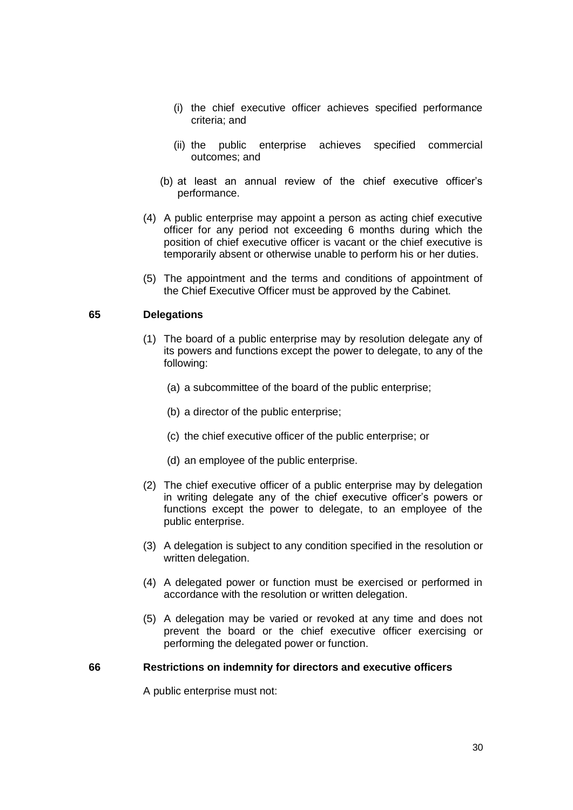- (i) the chief executive officer achieves specified performance criteria; and
- (ii) the public enterprise achieves specified commercial outcomes; and
- (b) at least an annual review of the chief executive officer's performance.
- (4) A public enterprise may appoint a person as acting chief executive officer for any period not exceeding 6 months during which the position of chief executive officer is vacant or the chief executive is temporarily absent or otherwise unable to perform his or her duties.
- (5) The appointment and the terms and conditions of appointment of the Chief Executive Officer must be approved by the Cabinet.

# <span id="page-29-0"></span>**65 Delegations**

- (1) The board of a public enterprise may by resolution delegate any of its powers and functions except the power to delegate, to any of the following:
	- (a) a subcommittee of the board of the public enterprise;
	- (b) a director of the public enterprise;
	- (c) the chief executive officer of the public enterprise; or
	- (d) an employee of the public enterprise.
- (2) The chief executive officer of a public enterprise may by delegation in writing delegate any of the chief executive officer's powers or functions except the power to delegate, to an employee of the public enterprise.
- (3) A delegation is subject to any condition specified in the resolution or written delegation.
- (4) A delegated power or function must be exercised or performed in accordance with the resolution or written delegation.
- (5) A delegation may be varied or revoked at any time and does not prevent the board or the chief executive officer exercising or performing the delegated power or function.

#### <span id="page-29-1"></span>**66 Restrictions on indemnity for directors and executive officers**

A public enterprise must not: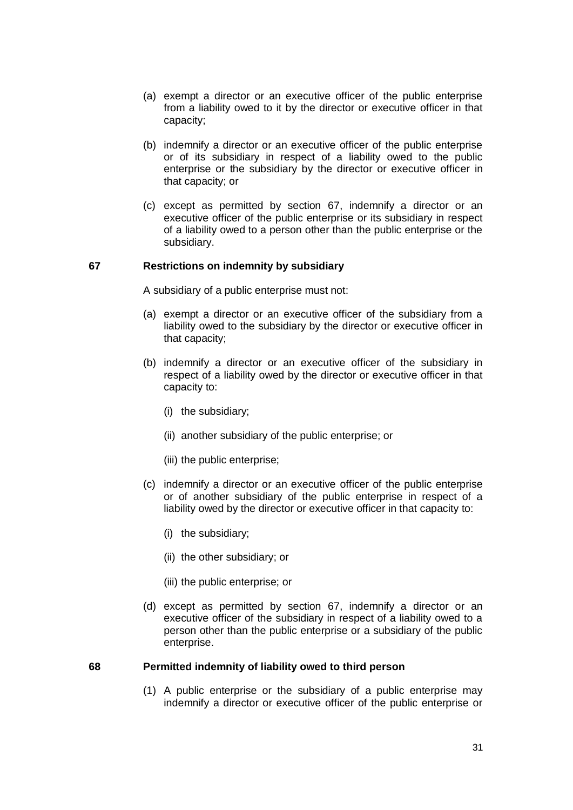- (a) exempt a director or an executive officer of the public enterprise from a liability owed to it by the director or executive officer in that capacity;
- (b) indemnify a director or an executive officer of the public enterprise or of its subsidiary in respect of a liability owed to the public enterprise or the subsidiary by the director or executive officer in that capacity; or
- (c) except as permitted by section 67, indemnify a director or an executive officer of the public enterprise or its subsidiary in respect of a liability owed to a person other than the public enterprise or the subsidiary.

## <span id="page-30-0"></span>**67 Restrictions on indemnity by subsidiary**

A subsidiary of a public enterprise must not:

- (a) exempt a director or an executive officer of the subsidiary from a liability owed to the subsidiary by the director or executive officer in that capacity;
- (b) indemnify a director or an executive officer of the subsidiary in respect of a liability owed by the director or executive officer in that capacity to:
	- (i) the subsidiary;
	- (ii) another subsidiary of the public enterprise; or
	- (iii) the public enterprise;
- (c) indemnify a director or an executive officer of the public enterprise or of another subsidiary of the public enterprise in respect of a liability owed by the director or executive officer in that capacity to:
	- (i) the subsidiary;
	- (ii) the other subsidiary; or
	- (iii) the public enterprise; or
- (d) except as permitted by section 67, indemnify a director or an executive officer of the subsidiary in respect of a liability owed to a person other than the public enterprise or a subsidiary of the public enterprise.

#### <span id="page-30-1"></span>**68 Permitted indemnity of liability owed to third person**

(1) A public enterprise or the subsidiary of a public enterprise may indemnify a director or executive officer of the public enterprise or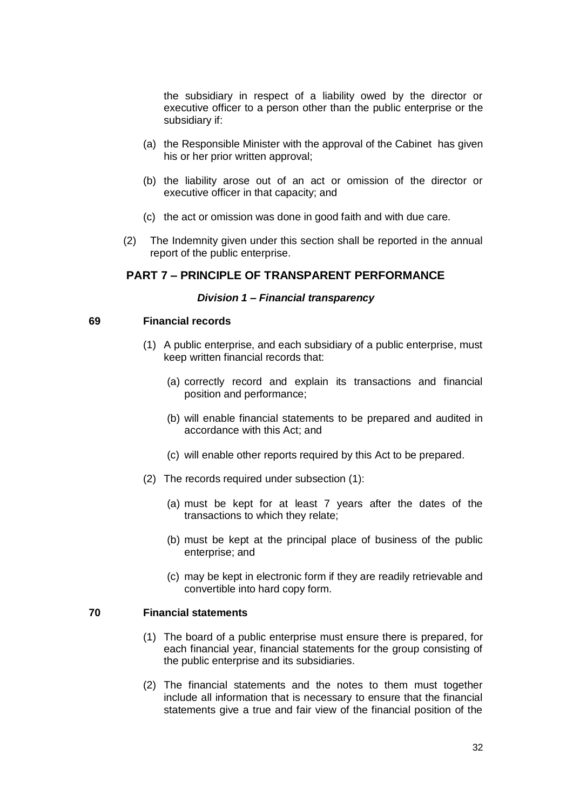the subsidiary in respect of a liability owed by the director or executive officer to a person other than the public enterprise or the subsidiary if:

- (a) the Responsible Minister with the approval of the Cabinet has given his or her prior written approval;
- (b) the liability arose out of an act or omission of the director or executive officer in that capacity; and
- (c) the act or omission was done in good faith and with due care.
- (2) The Indemnity given under this section shall be reported in the annual report of the public enterprise.

## <span id="page-31-0"></span>**PART 7 – PRINCIPLE OF TRANSPARENT PERFORMANCE**

#### *Division 1 – Financial transparency*

#### <span id="page-31-2"></span><span id="page-31-1"></span>**69 Financial records**

- (1) A public enterprise, and each subsidiary of a public enterprise, must keep written financial records that:
	- (a) correctly record and explain its transactions and financial position and performance;
	- (b) will enable financial statements to be prepared and audited in accordance with this Act; and
	- (c) will enable other reports required by this Act to be prepared.
- (2) The records required under subsection (1):
	- (a) must be kept for at least 7 years after the dates of the transactions to which they relate;
	- (b) must be kept at the principal place of business of the public enterprise; and
	- (c) may be kept in electronic form if they are readily retrievable and convertible into hard copy form.

#### <span id="page-31-3"></span>**70 Financial statements**

- (1) The board of a public enterprise must ensure there is prepared, for each financial year, financial statements for the group consisting of the public enterprise and its subsidiaries.
- (2) The financial statements and the notes to them must together include all information that is necessary to ensure that the financial statements give a true and fair view of the financial position of the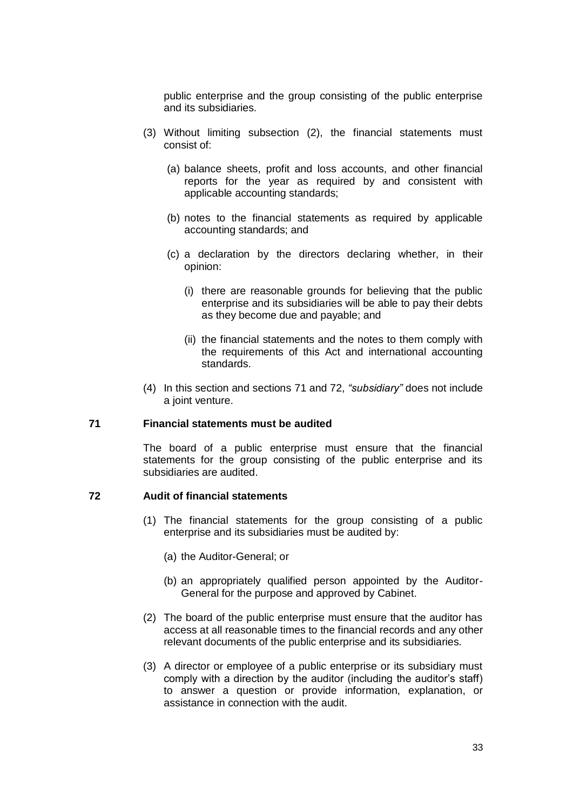public enterprise and the group consisting of the public enterprise and its subsidiaries.

- (3) Without limiting subsection (2), the financial statements must consist of:
	- (a) balance sheets, profit and loss accounts, and other financial reports for the year as required by and consistent with applicable accounting standards;
	- (b) notes to the financial statements as required by applicable accounting standards; and
	- (c) a declaration by the directors declaring whether, in their opinion:
		- (i) there are reasonable grounds for believing that the public enterprise and its subsidiaries will be able to pay their debts as they become due and payable; and
		- (ii) the financial statements and the notes to them comply with the requirements of this Act and international accounting standards.
- (4) In this section and sections 71 and 72, *"subsidiary"* does not include a joint venture.

#### <span id="page-32-0"></span>**71 Financial statements must be audited**

The board of a public enterprise must ensure that the financial statements for the group consisting of the public enterprise and its subsidiaries are audited.

# <span id="page-32-1"></span>**72 Audit of financial statements**

- (1) The financial statements for the group consisting of a public enterprise and its subsidiaries must be audited by:
	- (a) the Auditor-General; or
	- (b) an appropriately qualified person appointed by the Auditor-General for the purpose and approved by Cabinet.
- (2) The board of the public enterprise must ensure that the auditor has access at all reasonable times to the financial records and any other relevant documents of the public enterprise and its subsidiaries.
- (3) A director or employee of a public enterprise or its subsidiary must comply with a direction by the auditor (including the auditor's staff) to answer a question or provide information, explanation, or assistance in connection with the audit.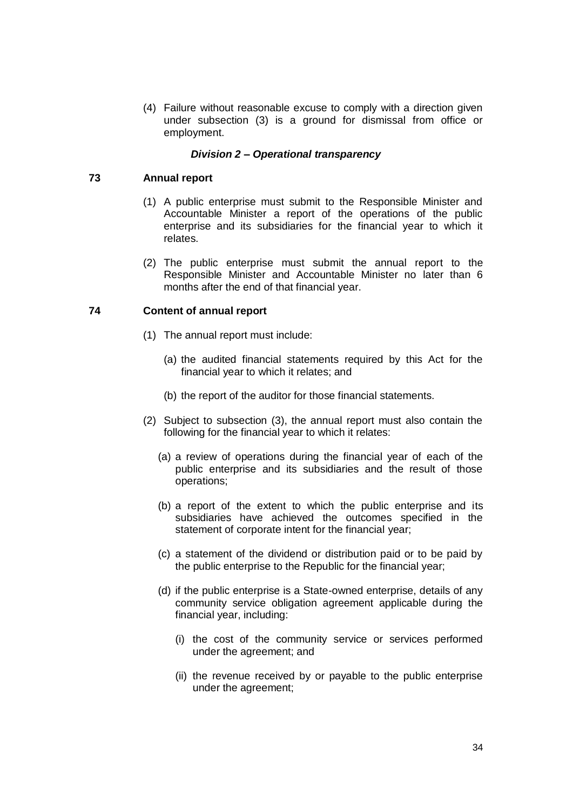(4) Failure without reasonable excuse to comply with a direction given under subsection (3) is a ground for dismissal from office or employment.

## *Division 2 – Operational transparency*

## <span id="page-33-1"></span><span id="page-33-0"></span>**73 Annual report**

- (1) A public enterprise must submit to the Responsible Minister and Accountable Minister a report of the operations of the public enterprise and its subsidiaries for the financial year to which it relates.
- (2) The public enterprise must submit the annual report to the Responsible Minister and Accountable Minister no later than 6 months after the end of that financial year.

## <span id="page-33-2"></span>**74 Content of annual report**

- (1) The annual report must include:
	- (a) the audited financial statements required by this Act for the financial year to which it relates; and
	- (b) the report of the auditor for those financial statements.
- (2) Subject to subsection (3), the annual report must also contain the following for the financial year to which it relates:
	- (a) a review of operations during the financial year of each of the public enterprise and its subsidiaries and the result of those operations;
	- (b) a report of the extent to which the public enterprise and its subsidiaries have achieved the outcomes specified in the statement of corporate intent for the financial year;
	- (c) a statement of the dividend or distribution paid or to be paid by the public enterprise to the Republic for the financial year;
	- (d) if the public enterprise is a State-owned enterprise, details of any community service obligation agreement applicable during the financial year, including:
		- (i) the cost of the community service or services performed under the agreement; and
		- (ii) the revenue received by or payable to the public enterprise under the agreement;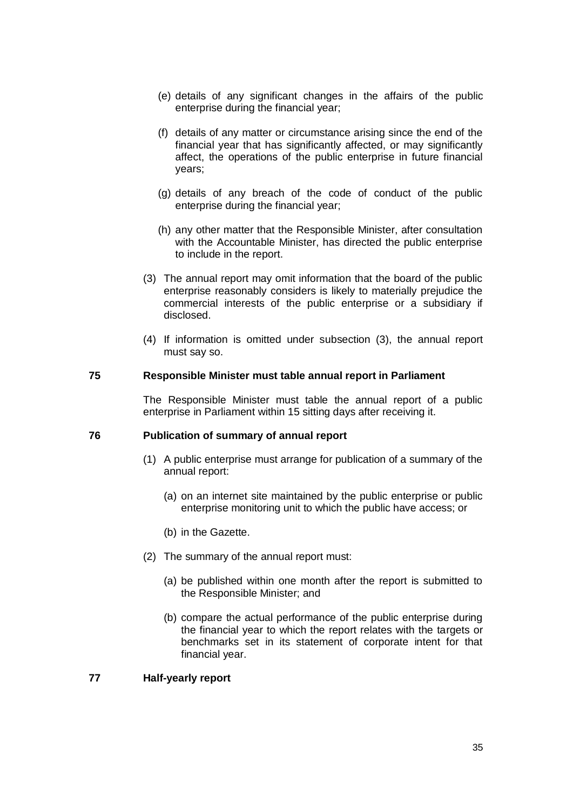- (e) details of any significant changes in the affairs of the public enterprise during the financial year;
- (f) details of any matter or circumstance arising since the end of the financial year that has significantly affected, or may significantly affect, the operations of the public enterprise in future financial years;
- (g) details of any breach of the code of conduct of the public enterprise during the financial year;
- (h) any other matter that the Responsible Minister, after consultation with the Accountable Minister, has directed the public enterprise to include in the report.
- (3) The annual report may omit information that the board of the public enterprise reasonably considers is likely to materially prejudice the commercial interests of the public enterprise or a subsidiary if disclosed.
- (4) If information is omitted under subsection (3), the annual report must say so.

#### <span id="page-34-0"></span>**75 Responsible Minister must table annual report in Parliament**

The Responsible Minister must table the annual report of a public enterprise in Parliament within 15 sitting days after receiving it.

#### <span id="page-34-1"></span>**76 Publication of summary of annual report**

- (1) A public enterprise must arrange for publication of a summary of the annual report:
	- (a) on an internet site maintained by the public enterprise or public enterprise monitoring unit to which the public have access; or
	- (b) in the Gazette.
- (2) The summary of the annual report must:
	- (a) be published within one month after the report is submitted to the Responsible Minister; and
	- (b) compare the actual performance of the public enterprise during the financial year to which the report relates with the targets or benchmarks set in its statement of corporate intent for that financial year.

#### <span id="page-34-2"></span>**77 Half-yearly report**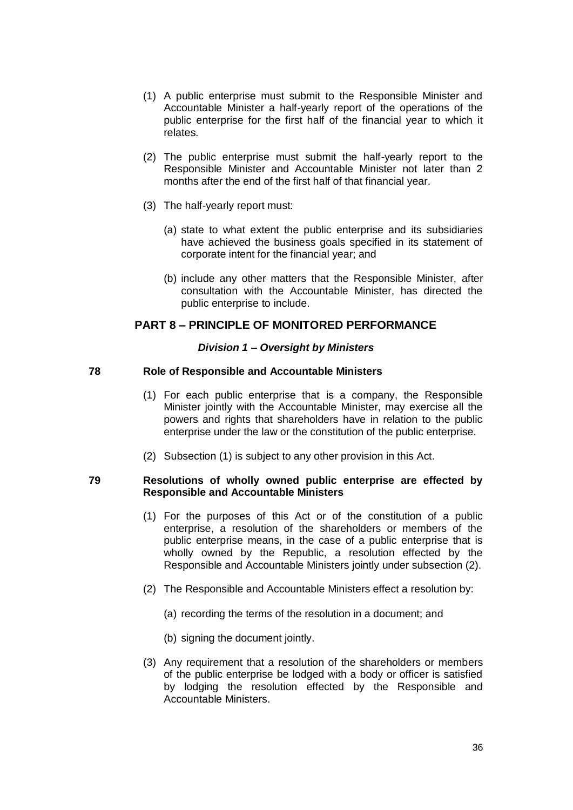- (1) A public enterprise must submit to the Responsible Minister and Accountable Minister a half-yearly report of the operations of the public enterprise for the first half of the financial year to which it relates.
- (2) The public enterprise must submit the half-yearly report to the Responsible Minister and Accountable Minister not later than 2 months after the end of the first half of that financial year.
- (3) The half-yearly report must:
	- (a) state to what extent the public enterprise and its subsidiaries have achieved the business goals specified in its statement of corporate intent for the financial year; and
	- (b) include any other matters that the Responsible Minister, after consultation with the Accountable Minister, has directed the public enterprise to include.

# <span id="page-35-0"></span>**PART 8 – PRINCIPLE OF MONITORED PERFORMANCE**

# *Division 1 – Oversight by Ministers*

## <span id="page-35-2"></span><span id="page-35-1"></span>**78 Role of Responsible and Accountable Ministers**

- (1) For each public enterprise that is a company, the Responsible Minister jointly with the Accountable Minister, may exercise all the powers and rights that shareholders have in relation to the public enterprise under the law or the constitution of the public enterprise.
- (2) Subsection (1) is subject to any other provision in this Act.

## <span id="page-35-3"></span>**79 Resolutions of wholly owned public enterprise are effected by Responsible and Accountable Ministers**

- (1) For the purposes of this Act or of the constitution of a public enterprise, a resolution of the shareholders or members of the public enterprise means, in the case of a public enterprise that is wholly owned by the Republic, a resolution effected by the Responsible and Accountable Ministers jointly under subsection (2).
- (2) The Responsible and Accountable Ministers effect a resolution by:
	- (a) recording the terms of the resolution in a document; and
	- (b) signing the document jointly.
- (3) Any requirement that a resolution of the shareholders or members of the public enterprise be lodged with a body or officer is satisfied by lodging the resolution effected by the Responsible and Accountable Ministers.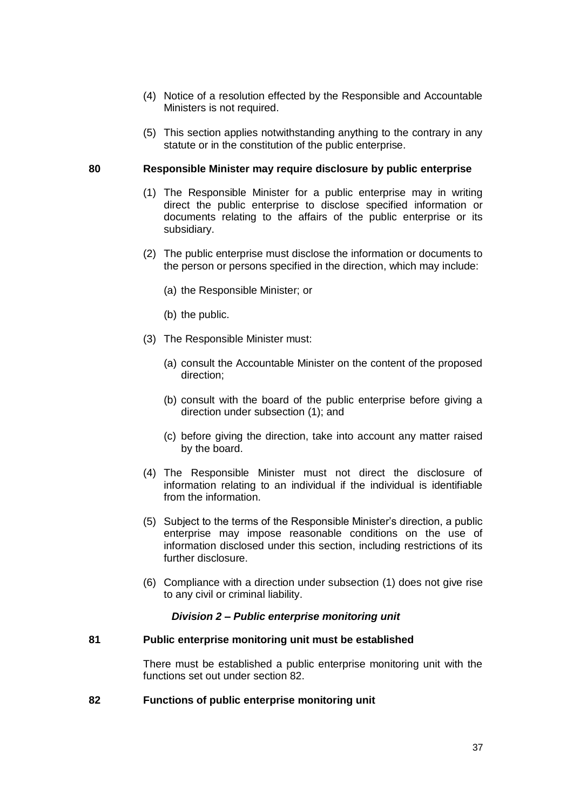- (4) Notice of a resolution effected by the Responsible and Accountable Ministers is not required.
- (5) This section applies notwithstanding anything to the contrary in any statute or in the constitution of the public enterprise.

#### <span id="page-36-0"></span>**80 Responsible Minister may require disclosure by public enterprise**

- (1) The Responsible Minister for a public enterprise may in writing direct the public enterprise to disclose specified information or documents relating to the affairs of the public enterprise or its subsidiary.
- (2) The public enterprise must disclose the information or documents to the person or persons specified in the direction, which may include:
	- (a) the Responsible Minister; or
	- (b) the public.
- (3) The Responsible Minister must:
	- (a) consult the Accountable Minister on the content of the proposed direction;
	- (b) consult with the board of the public enterprise before giving a direction under subsection (1); and
	- (c) before giving the direction, take into account any matter raised by the board.
- (4) The Responsible Minister must not direct the disclosure of information relating to an individual if the individual is identifiable from the information.
- (5) Subject to the terms of the Responsible Minister's direction, a public enterprise may impose reasonable conditions on the use of information disclosed under this section, including restrictions of its further disclosure.
- (6) Compliance with a direction under subsection (1) does not give rise to any civil or criminal liability.

#### *Division 2 – Public enterprise monitoring unit*

#### <span id="page-36-2"></span><span id="page-36-1"></span>**81 Public enterprise monitoring unit must be established**

There must be established a public enterprise monitoring unit with the functions set out under section 82.

## <span id="page-36-3"></span>**82 Functions of public enterprise monitoring unit**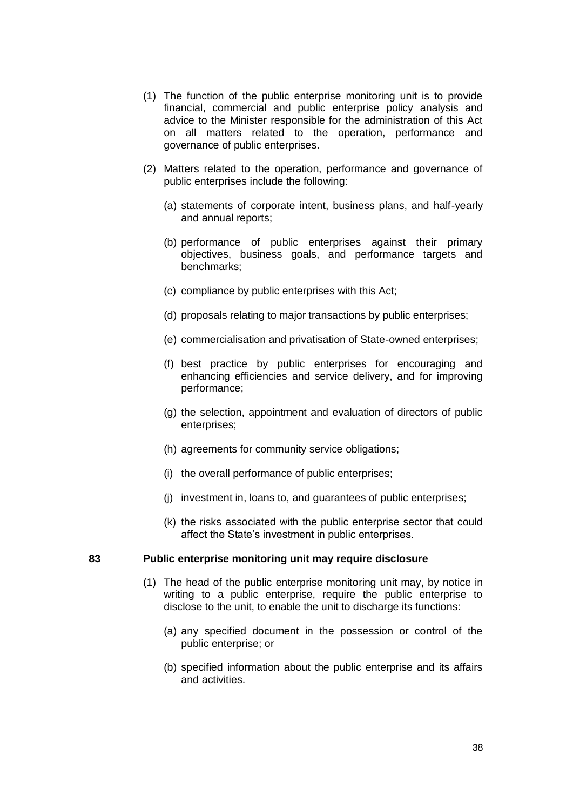- (1) The function of the public enterprise monitoring unit is to provide financial, commercial and public enterprise policy analysis and advice to the Minister responsible for the administration of this Act on all matters related to the operation, performance and governance of public enterprises.
- (2) Matters related to the operation, performance and governance of public enterprises include the following:
	- (a) statements of corporate intent, business plans, and half-yearly and annual reports;
	- (b) performance of public enterprises against their primary objectives, business goals, and performance targets and benchmarks;
	- (c) compliance by public enterprises with this Act;
	- (d) proposals relating to major transactions by public enterprises;
	- (e) commercialisation and privatisation of State-owned enterprises;
	- (f) best practice by public enterprises for encouraging and enhancing efficiencies and service delivery, and for improving performance;
	- (g) the selection, appointment and evaluation of directors of public enterprises;
	- (h) agreements for community service obligations;
	- (i) the overall performance of public enterprises;
	- (j) investment in, loans to, and guarantees of public enterprises;
	- (k) the risks associated with the public enterprise sector that could affect the State's investment in public enterprises.

#### <span id="page-37-0"></span>**83 Public enterprise monitoring unit may require disclosure**

- (1) The head of the public enterprise monitoring unit may, by notice in writing to a public enterprise, require the public enterprise to disclose to the unit, to enable the unit to discharge its functions:
	- (a) any specified document in the possession or control of the public enterprise; or
	- (b) specified information about the public enterprise and its affairs and activities.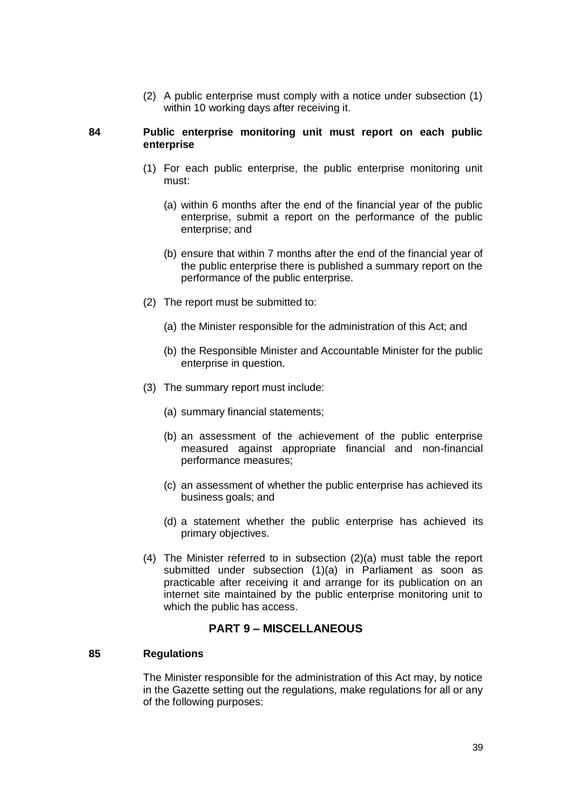(2) A public enterprise must comply with a notice under subsection (1) within 10 working days after receiving it.

#### <span id="page-38-0"></span>**84 Public enterprise monitoring unit must report on each public enterprise**

- (1) For each public enterprise, the public enterprise monitoring unit must:
	- (a) within 6 months after the end of the financial year of the public enterprise, submit a report on the performance of the public enterprise; and
	- (b) ensure that within 7 months after the end of the financial year of the public enterprise there is published a summary report on the performance of the public enterprise.
- (2) The report must be submitted to:
	- (a) the Minister responsible for the administration of this Act; and
	- (b) the Responsible Minister and Accountable Minister for the public enterprise in question.
- (3) The summary report must include:
	- (a) summary financial statements;
	- (b) an assessment of the achievement of the public enterprise measured against appropriate financial and non-financial performance measures;
	- (c) an assessment of whether the public enterprise has achieved its business goals; and
	- (d) a statement whether the public enterprise has achieved its primary objectives.
- (4) The Minister referred to in subsection (2)(a) must table the report submitted under subsection (1)(a) in Parliament as soon as practicable after receiving it and arrange for its publication on an internet site maintained by the public enterprise monitoring unit to which the public has access.

# **PART 9 – MISCELLANEOUS**

#### <span id="page-38-2"></span><span id="page-38-1"></span>**85 Regulations**

The Minister responsible for the administration of this Act may, by notice in the Gazette setting out the regulations, make regulations for all or any of the following purposes: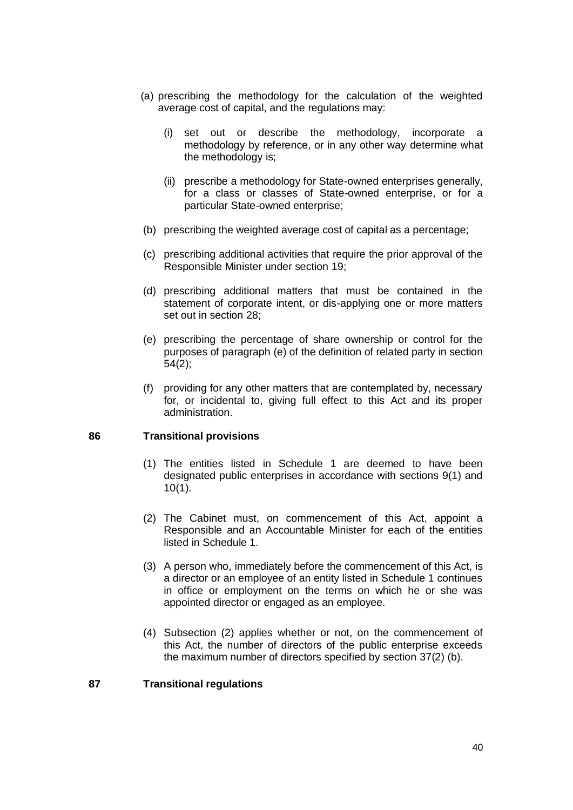- (a) prescribing the methodology for the calculation of the weighted average cost of capital, and the regulations may:
	- (i) set out or describe the methodology, incorporate a methodology by reference, or in any other way determine what the methodology is;
	- (ii) prescribe a methodology for State-owned enterprises generally, for a class or classes of State-owned enterprise, or for a particular State-owned enterprise;
- (b) prescribing the weighted average cost of capital as a percentage;
- (c) prescribing additional activities that require the prior approval of the Responsible Minister under section 19;
- (d) prescribing additional matters that must be contained in the statement of corporate intent, or dis-applying one or more matters set out in section 28;
- (e) prescribing the percentage of share ownership or control for the purposes of paragraph (e) of the definition of related party in section 54(2);
- (f) providing for any other matters that are contemplated by, necessary for, or incidental to, giving full effect to this Act and its proper administration.

# <span id="page-39-0"></span>**86 Transitional provisions**

- (1) The entities listed in Schedule 1 are deemed to have been designated public enterprises in accordance with sections 9(1) and 10(1).
- (2) The Cabinet must, on commencement of this Act, appoint a Responsible and an Accountable Minister for each of the entities listed in Schedule 1.
- (3) A person who, immediately before the commencement of this Act, is a director or an employee of an entity listed in Schedule 1 continues in office or employment on the terms on which he or she was appointed director or engaged as an employee.
- (4) Subsection (2) applies whether or not, on the commencement of this Act, the number of directors of the public enterprise exceeds the maximum number of directors specified by section 37(2) (b).

## <span id="page-39-1"></span>**87 Transitional regulations**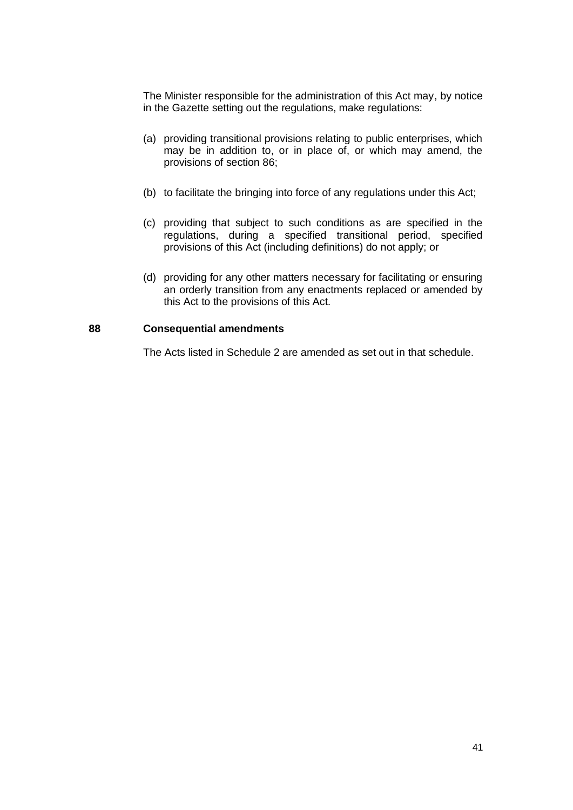The Minister responsible for the administration of this Act may, by notice in the Gazette setting out the regulations, make regulations:

- (a) providing transitional provisions relating to public enterprises, which may be in addition to, or in place of, or which may amend, the provisions of section 86;
- (b) to facilitate the bringing into force of any regulations under this Act;
- (c) providing that subject to such conditions as are specified in the regulations, during a specified transitional period, specified provisions of this Act (including definitions) do not apply; or
- (d) providing for any other matters necessary for facilitating or ensuring an orderly transition from any enactments replaced or amended by this Act to the provisions of this Act.

## <span id="page-40-0"></span>**88 Consequential amendments**

The Acts listed in Schedule 2 are amended as set out in that schedule.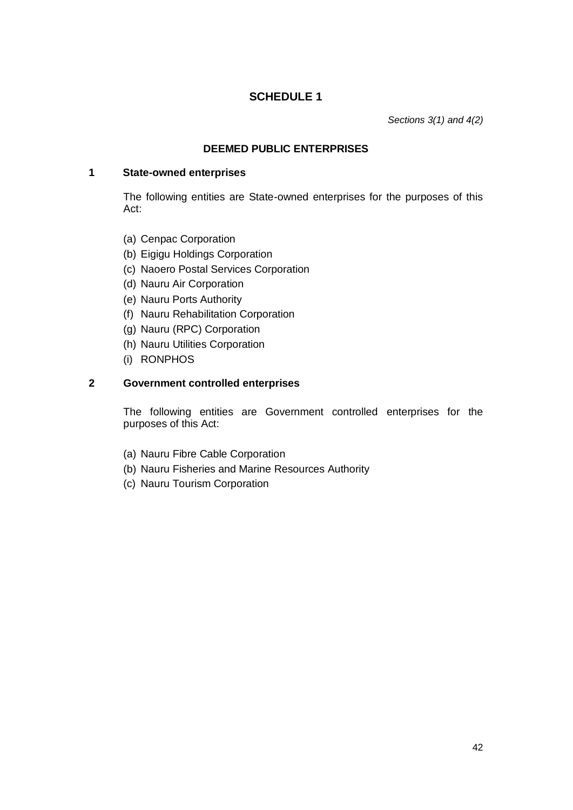# **SCHEDULE 1**

*Sections 3(1) and 4(2)*

## **DEEMED PUBLIC ENTERPRISES**

#### <span id="page-41-0"></span>**1 State-owned enterprises**

The following entities are State-owned enterprises for the purposes of this Act:

- (a) Cenpac Corporation
- (b) Eigigu Holdings Corporation
- (c) Naoero Postal Services Corporation
- (d) Nauru Air Corporation
- (e) Nauru Ports Authority
- (f) Nauru Rehabilitation Corporation
- (g) Nauru (RPC) Corporation
- (h) Nauru Utilities Corporation
- (i) RONPHOS

# **2 Government controlled enterprises**

The following entities are Government controlled enterprises for the purposes of this Act:

- (a) Nauru Fibre Cable Corporation
- (b) Nauru Fisheries and Marine Resources Authority
- (c) Nauru Tourism Corporation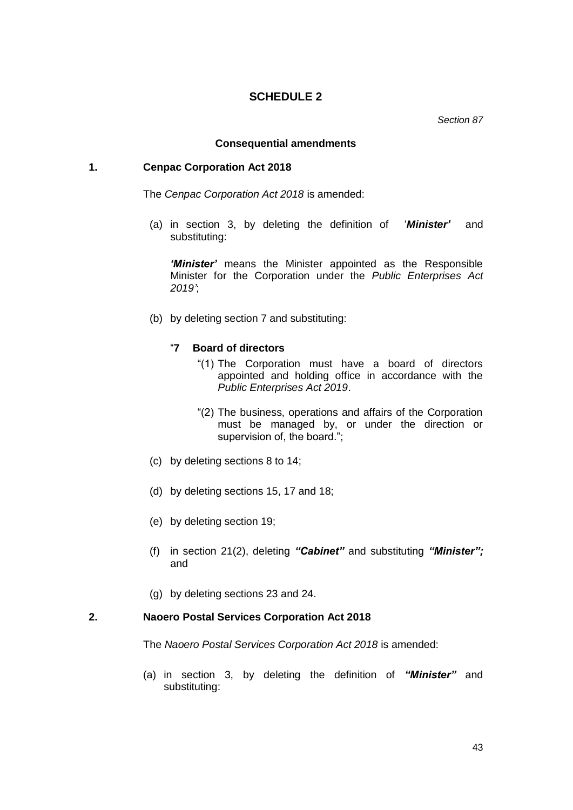## **SCHEDULE 2**

*Section 87*

#### **Consequential amendments**

## <span id="page-42-0"></span>**1. Cenpac Corporation Act 2018**

The *Cenpac Corporation Act 2018* is amended:

(a) in section 3, by deleting the definition of '*Minister'* and substituting:

*'Minister'* means the Minister appointed as the Responsible Minister for the Corporation under the *Public Enterprises Act 2019'*;

(b) by deleting section 7 and substituting:

## "**7 Board of directors**

- "(1) The Corporation must have a board of directors appointed and holding office in accordance with the *Public Enterprises Act 2019*.
- "(2) The business, operations and affairs of the Corporation must be managed by, or under the direction or supervision of, the board.";
- (c) by deleting sections 8 to 14;
- (d) by deleting sections 15, 17 and 18;
- (e) by deleting section 19;
- (f) in section 21(2), deleting *"Cabinet"* and substituting *"Minister";* and
- (g) by deleting sections 23 and 24.

## **2. Naoero Postal Services Corporation Act 2018**

The *Naoero Postal Services Corporation Act 2018* is amended:

(a) in section 3, by deleting the definition of *"Minister"* and substituting: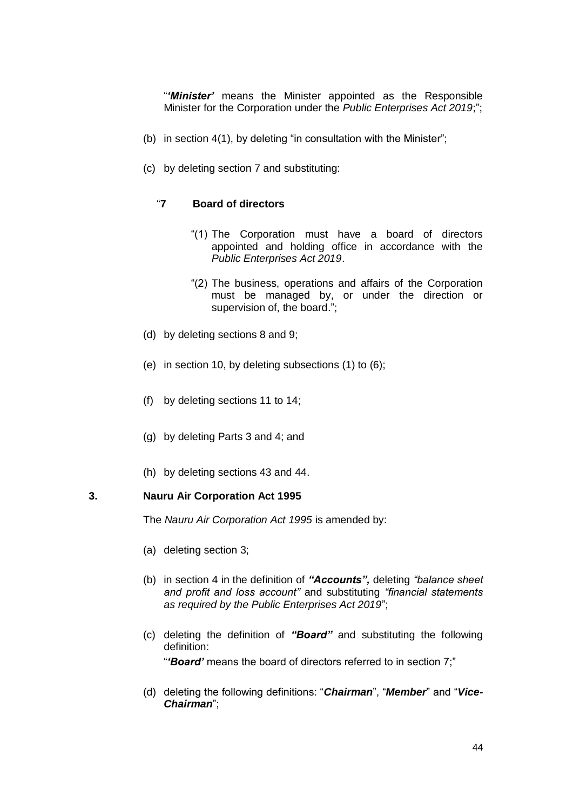"*'Minister'* means the Minister appointed as the Responsible Minister for the Corporation under the *Public Enterprises Act 2019*;";

- (b) in section 4(1), by deleting "in consultation with the Minister";
- (c) by deleting section 7 and substituting:

## "**7 Board of directors**

- "(1) The Corporation must have a board of directors appointed and holding office in accordance with the *Public Enterprises Act 2019*.
- "(2) The business, operations and affairs of the Corporation must be managed by, or under the direction or supervision of, the board.";
- (d) by deleting sections 8 and 9;
- (e) in section 10, by deleting subsections (1) to (6);
- (f) by deleting sections 11 to 14;
- (g) by deleting Parts 3 and 4; and
- (h) by deleting sections 43 and 44.

#### **3. Nauru Air Corporation Act 1995**

The *Nauru Air Corporation Act 1995* is amended by:

- (a) deleting section 3;
- (b) in section 4 in the definition of *"Accounts",* deleting *"balance sheet and profit and loss account"* and substituting *"financial statements as required by the Public Enterprises Act 2019*";
- (c) deleting the definition of *"Board"* and substituting the following definition: "*'Board'* means the board of directors referred to in section 7;"
- (d) deleting the following definitions: "*Chairman*", "*Member*" and "*Vice-Chairman*";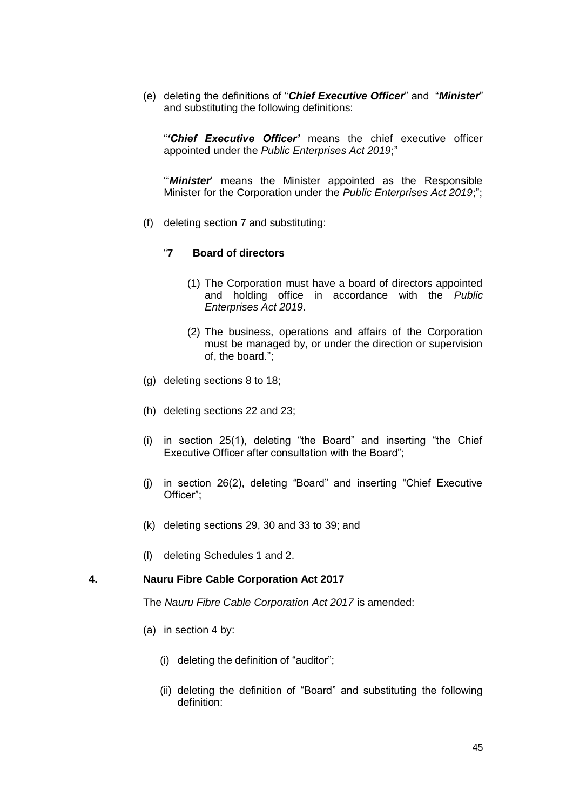(e) deleting the definitions of "*Chief Executive Officer*" and "*Minister*" and substituting the following definitions:

"*'Chief Executive Officer'* means the chief executive officer appointed under the *Public Enterprises Act 2019*;"

"'*Minister*' means the Minister appointed as the Responsible Minister for the Corporation under the *Public Enterprises Act 2019*;";

(f) deleting section 7 and substituting:

# "**7 Board of directors**

- (1) The Corporation must have a board of directors appointed and holding office in accordance with the *Public Enterprises Act 2019*.
- (2) The business, operations and affairs of the Corporation must be managed by, or under the direction or supervision of, the board.";
- (g) deleting sections 8 to 18;
- (h) deleting sections 22 and 23;
- (i) in section 25(1), deleting "the Board" and inserting "the Chief Executive Officer after consultation with the Board";
- (j) in section 26(2), deleting "Board" and inserting "Chief Executive Officer";
- (k) deleting sections 29, 30 and 33 to 39; and
- (l) deleting Schedules 1 and 2.

## **4. Nauru Fibre Cable Corporation Act 2017**

The *Nauru Fibre Cable Corporation Act 2017* is amended:

- (a) in section 4 by:
	- (i) deleting the definition of "auditor";
	- (ii) deleting the definition of "Board" and substituting the following definition: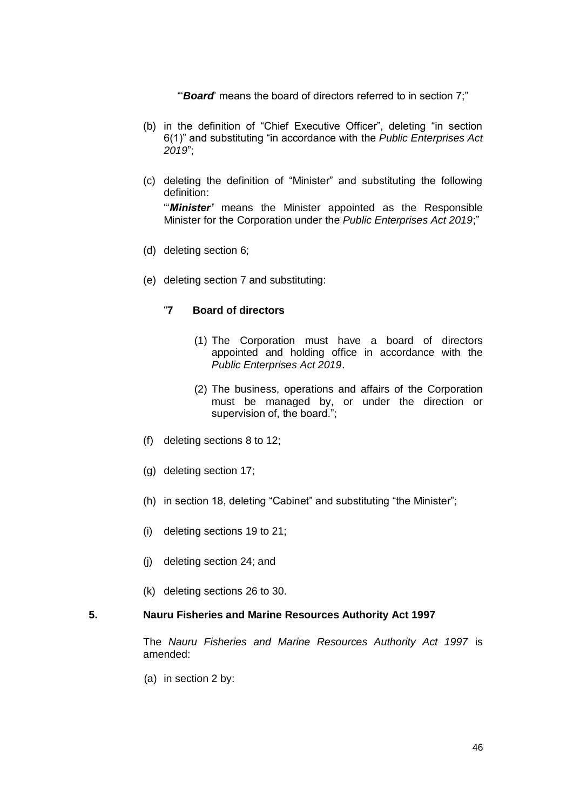"'*Board*' means the board of directors referred to in section 7;"

- (b) in the definition of "Chief Executive Officer", deleting "in section 6(1)" and substituting "in accordance with the *Public Enterprises Act 2019*";
- (c) deleting the definition of "Minister" and substituting the following definition: "'*Minister'* means the Minister appointed as the Responsible

Minister for the Corporation under the *Public Enterprises Act 2019*;"

- (d) deleting section 6;
- (e) deleting section 7 and substituting:

# "**7 Board of directors**

- (1) The Corporation must have a board of directors appointed and holding office in accordance with the *Public Enterprises Act 2019*.
- (2) The business, operations and affairs of the Corporation must be managed by, or under the direction or supervision of, the board.";
- (f) deleting sections 8 to 12;
- (g) deleting section 17;
- (h) in section 18, deleting "Cabinet" and substituting "the Minister";
- (i) deleting sections 19 to 21;
- (j) deleting section 24; and
- (k) deleting sections 26 to 30.

# **5. Nauru Fisheries and Marine Resources Authority Act 1997**

The *Nauru Fisheries and Marine Resources Authority Act 1997* is amended:

(a) in section 2 by: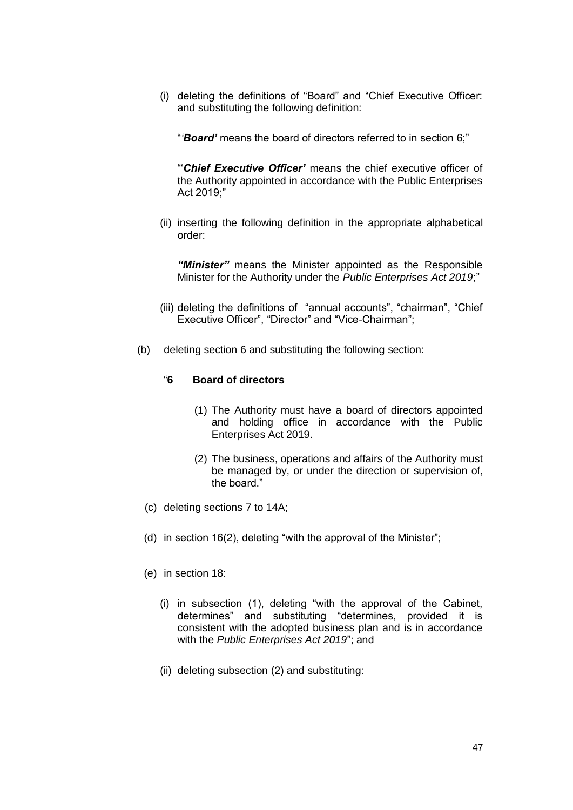(i) deleting the definitions of "Board" and "Chief Executive Officer: and substituting the following definition:

"*'Board'* means the board of directors referred to in section 6;"

"'*Chief Executive Officer'* means the chief executive officer of the Authority appointed in accordance with the Public Enterprises Act 2019;"

(ii) inserting the following definition in the appropriate alphabetical order:

*"Minister"* means the Minister appointed as the Responsible Minister for the Authority under the *Public Enterprises Act 2019*;"

- (iii) deleting the definitions of "annual accounts", "chairman", "Chief Executive Officer", "Director" and "Vice-Chairman";
- (b) deleting section 6 and substituting the following section:

# "**6 Board of directors**

- (1) The Authority must have a board of directors appointed and holding office in accordance with the Public Enterprises Act 2019.
- (2) The business, operations and affairs of the Authority must be managed by, or under the direction or supervision of, the board."
- (c) deleting sections 7 to 14A;
- (d) in section 16(2), deleting "with the approval of the Minister";
- (e) in section 18:
	- (i) in subsection (1), deleting "with the approval of the Cabinet, determines" and substituting "determines, provided it is consistent with the adopted business plan and is in accordance with the *Public Enterprises Act 2019*"; and
	- (ii) deleting subsection (2) and substituting: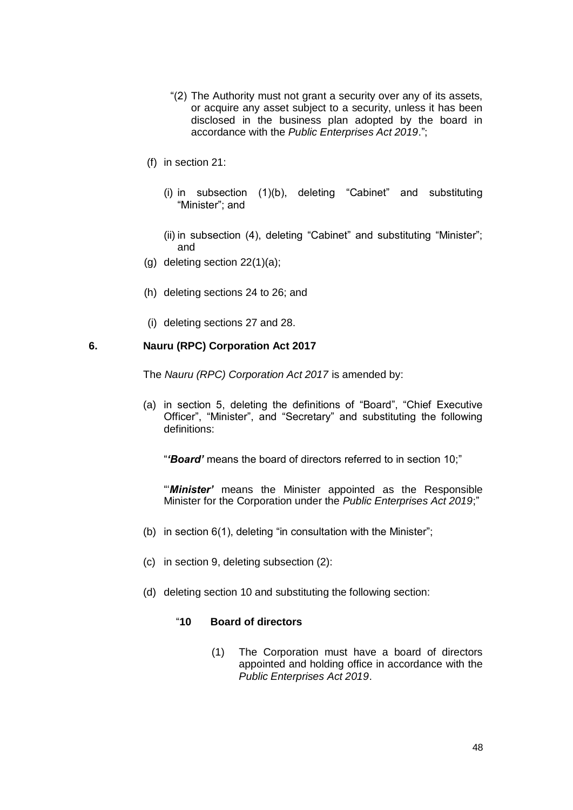- "(2) The Authority must not grant a security over any of its assets, or acquire any asset subject to a security, unless it has been disclosed in the business plan adopted by the board in accordance with the *Public Enterprises Act 2019*.";
- (f) in section 21:
	- (i) in subsection (1)(b), deleting "Cabinet" and substituting "Minister"; and
	- (ii) in subsection (4), deleting "Cabinet" and substituting "Minister"; and
- (g) deleting section 22(1)(a);
- (h) deleting sections 24 to 26; and
- (i) deleting sections 27 and 28.

## **6. Nauru (RPC) Corporation Act 2017**

The *Nauru (RPC) Corporation Act 2017* is amended by:

(a) in section 5, deleting the definitions of "Board", "Chief Executive Officer", "Minister", and "Secretary" and substituting the following definitions:

"*'Board'* means the board of directors referred to in section 10;"

"'*Minister'* means the Minister appointed as the Responsible Minister for the Corporation under the *Public Enterprises Act 2019*;"

- (b) in section 6(1), deleting "in consultation with the Minister";
- (c) in section 9, deleting subsection (2):
- (d) deleting section 10 and substituting the following section:

## "**10 Board of directors**

(1) The Corporation must have a board of directors appointed and holding office in accordance with the *Public Enterprises Act 2019*.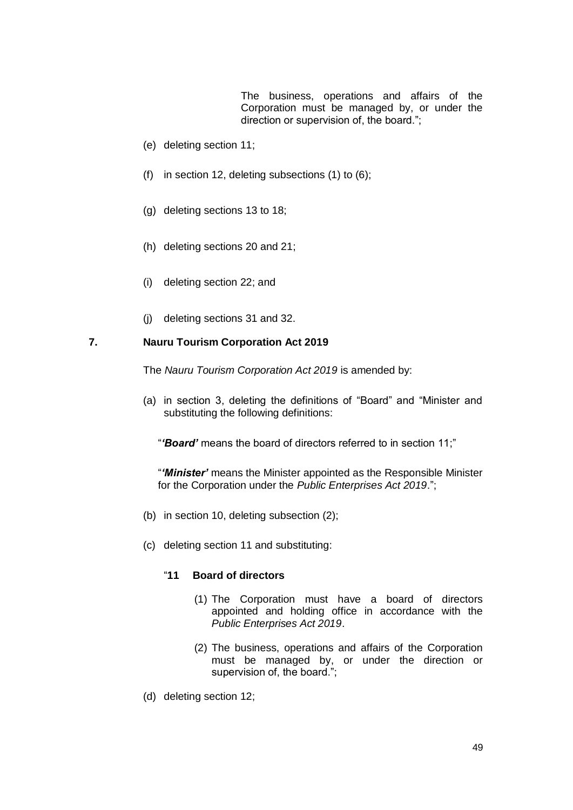The business, operations and affairs of the Corporation must be managed by, or under the direction or supervision of, the board.";

- (e) deleting section 11;
- (f) in section 12, deleting subsections (1) to (6);
- (g) deleting sections 13 to 18;
- (h) deleting sections 20 and 21;
- (i) deleting section 22; and
- (j) deleting sections 31 and 32.

# **7. Nauru Tourism Corporation Act 2019**

The *Nauru Tourism Corporation Act 2019* is amended by:

(a) in section 3, deleting the definitions of "Board" and "Minister and substituting the following definitions:

"*'Board'* means the board of directors referred to in section 11;"

"*'Minister'* means the Minister appointed as the Responsible Minister for the Corporation under the *Public Enterprises Act 2019*.";

- (b) in section 10, deleting subsection (2);
- (c) deleting section 11 and substituting:

### "**11 Board of directors**

- (1) The Corporation must have a board of directors appointed and holding office in accordance with the *Public Enterprises Act 2019*.
- (2) The business, operations and affairs of the Corporation must be managed by, or under the direction or supervision of, the board.";
- (d) deleting section 12;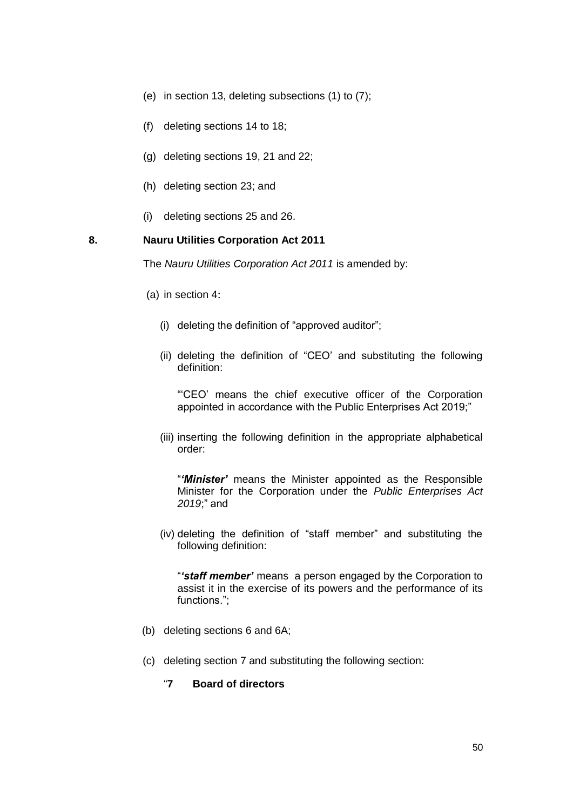- (e) in section 13, deleting subsections (1) to (7);
- (f) deleting sections 14 to 18;
- (g) deleting sections 19, 21 and 22;
- (h) deleting section 23; and
- (i) deleting sections 25 and 26.

## **8. Nauru Utilities Corporation Act 2011**

The *Nauru Utilities Corporation Act 2011* is amended by:

- (a) in section 4:
	- (i) deleting the definition of "approved auditor";
	- (ii) deleting the definition of "CEO' and substituting the following definition:

"'CEO' means the chief executive officer of the Corporation appointed in accordance with the Public Enterprises Act 2019;"

(iii) inserting the following definition in the appropriate alphabetical order:

"*'Minister'* means the Minister appointed as the Responsible Minister for the Corporation under the *Public Enterprises Act 2019*;" and

(iv) deleting the definition of "staff member" and substituting the following definition:

"*'staff member'* means a person engaged by the Corporation to assist it in the exercise of its powers and the performance of its functions.";

- (b) deleting sections 6 and 6A;
- (c) deleting section 7 and substituting the following section:
	- "**7 Board of directors**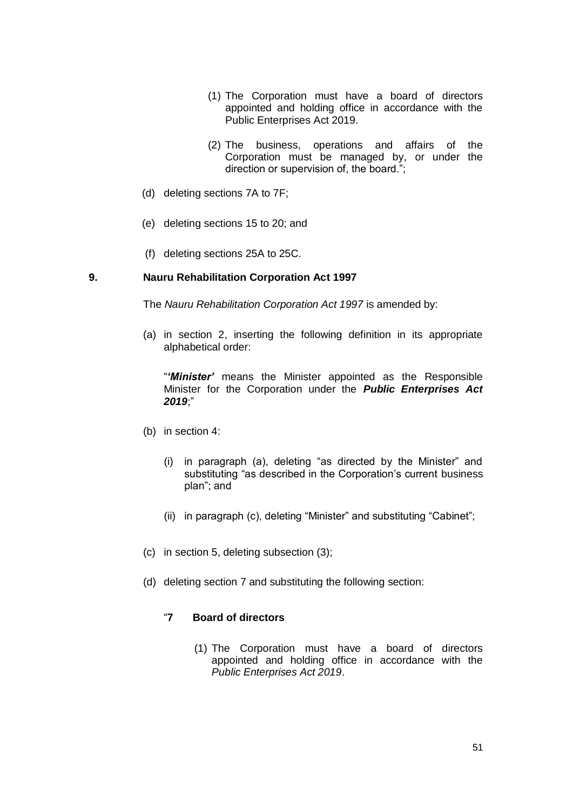- (1) The Corporation must have a board of directors appointed and holding office in accordance with the Public Enterprises Act 2019.
- (2) The business, operations and affairs of the Corporation must be managed by, or under the direction or supervision of, the board.";
- (d) deleting sections 7A to 7F;
- (e) deleting sections 15 to 20; and
- (f) deleting sections 25A to 25C.

## **9. Nauru Rehabilitation Corporation Act 1997**

The *Nauru Rehabilitation Corporation Act 1997* is amended by:

(a) in section 2, inserting the following definition in its appropriate alphabetical order:

"*'Minister'* means the Minister appointed as the Responsible Minister for the Corporation under the *Public Enterprises Act 2019*;"

- (b) in section 4:
	- (i) in paragraph (a), deleting "as directed by the Minister" and substituting "as described in the Corporation's current business plan"; and
	- (ii) in paragraph (c), deleting "Minister" and substituting "Cabinet";
- (c) in section 5, deleting subsection (3);
- (d) deleting section 7 and substituting the following section:

# "**7 Board of directors**

(1) The Corporation must have a board of directors appointed and holding office in accordance with the *Public Enterprises Act 2019*.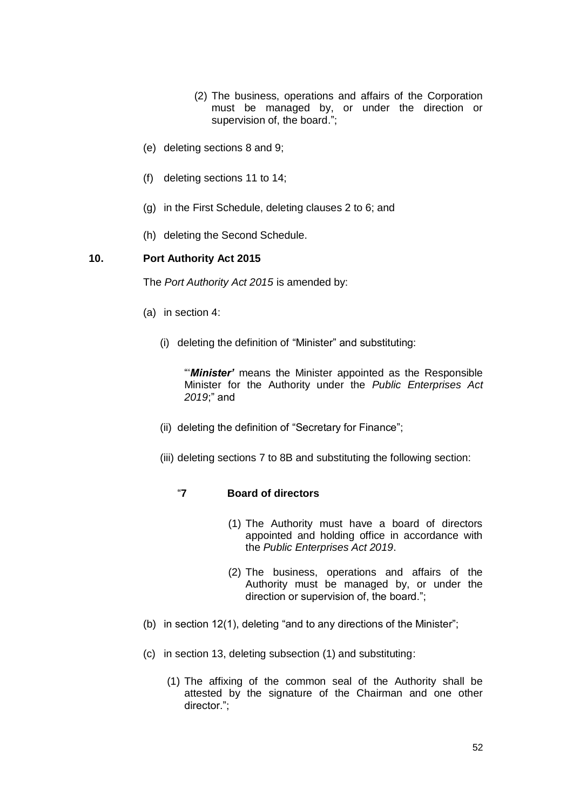- (2) The business, operations and affairs of the Corporation must be managed by, or under the direction or supervision of, the board.";
- (e) deleting sections 8 and 9;
- (f) deleting sections 11 to 14;
- (g) in the First Schedule, deleting clauses 2 to 6; and
- (h) deleting the Second Schedule.

# **10. Port Authority Act 2015**

The *Port Authority Act 2015* is amended by:

- (a) in section 4:
	- (i) deleting the definition of "Minister" and substituting:

"'*Minister'* means the Minister appointed as the Responsible Minister for the Authority under the *Public Enterprises Act 2019*;" and

- (ii) deleting the definition of "Secretary for Finance";
- (iii) deleting sections 7 to 8B and substituting the following section:

## "**7 Board of directors**

- (1) The Authority must have a board of directors appointed and holding office in accordance with the *Public Enterprises Act 2019*.
- (2) The business, operations and affairs of the Authority must be managed by, or under the direction or supervision of, the board.";
- (b) in section 12(1), deleting "and to any directions of the Minister";
- (c) in section 13, deleting subsection (1) and substituting:
	- (1) The affixing of the common seal of the Authority shall be attested by the signature of the Chairman and one other director.";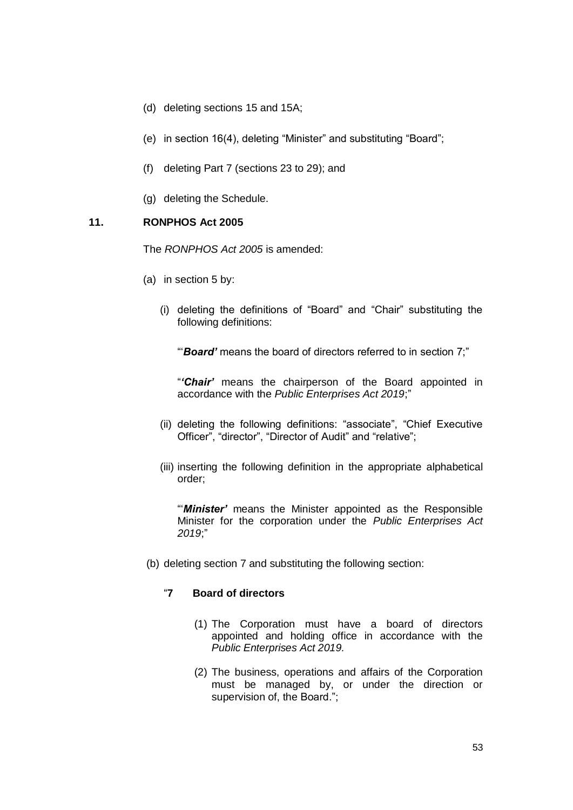- (d) deleting sections 15 and 15A;
- (e) in section 16(4), deleting "Minister" and substituting "Board";
- (f) deleting Part 7 (sections 23 to 29); and
- (g) deleting the Schedule.

## **11. RONPHOS Act 2005**

The *RONPHOS Act 2005* is amended:

- (a) in section 5 by:
	- (i) deleting the definitions of "Board" and "Chair" substituting the following definitions:

"'*Board'* means the board of directors referred to in section 7;"

"*'Chair'* means the chairperson of the Board appointed in accordance with the *Public Enterprises Act 2019*;"

- (ii) deleting the following definitions: "associate", "Chief Executive Officer", "director", "Director of Audit" and "relative";
- (iii) inserting the following definition in the appropriate alphabetical order;

"'*Minister'* means the Minister appointed as the Responsible Minister for the corporation under the *Public Enterprises Act 2019*;"

(b) deleting section 7 and substituting the following section:

## "**7 Board of directors**

- (1) The Corporation must have a board of directors appointed and holding office in accordance with the *Public Enterprises Act 2019.*
- (2) The business, operations and affairs of the Corporation must be managed by, or under the direction or supervision of, the Board.";